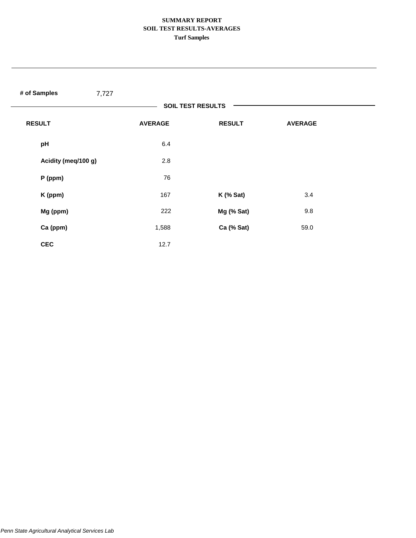# **SUMMARY REPORT SOIL TEST RESULTS-AVERAGES Turf Samples**

| # of Samples<br>7,727 |                          |               |                |  |
|-----------------------|--------------------------|---------------|----------------|--|
|                       | <b>SOIL TEST RESULTS</b> |               |                |  |
| <b>RESULT</b>         | <b>AVERAGE</b>           | <b>RESULT</b> | <b>AVERAGE</b> |  |
| pH                    | 6.4                      |               |                |  |
| Acidity (meq/100 g)   | 2.8                      |               |                |  |
| $P$ (ppm)             | 76                       |               |                |  |
| K (ppm)               | 167                      | $K$ (% Sat)   | 3.4            |  |
| Mg (ppm)              | 222                      | Mg (% Sat)    | 9.8            |  |
| Ca (ppm)              | 1,588                    | Ca (% Sat)    | 59.0           |  |
| <b>CEC</b>            | 12.7                     |               |                |  |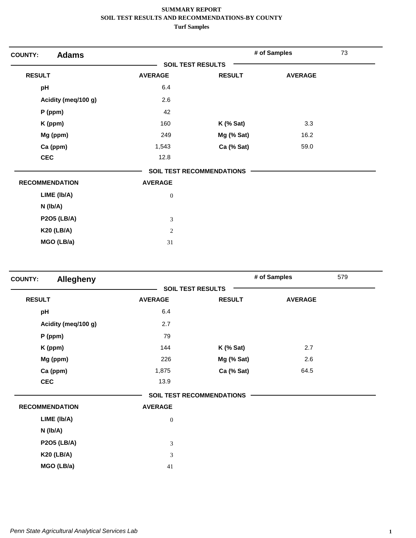| <b>Adams</b><br><b>COUNTY:</b> |                          |                                  | # of Samples   | 73 |
|--------------------------------|--------------------------|----------------------------------|----------------|----|
|                                | <b>SOIL TEST RESULTS</b> |                                  |                |    |
| <b>RESULT</b>                  | <b>AVERAGE</b>           | <b>RESULT</b>                    | <b>AVERAGE</b> |    |
| pH                             | 6.4                      |                                  |                |    |
| Acidity (meq/100 g)            | 2.6                      |                                  |                |    |
| $P$ (ppm)                      | 42                       |                                  |                |    |
| K (ppm)                        | 160                      | $K$ (% Sat)                      | 3.3            |    |
| Mg (ppm)                       | 249                      | Mg (% Sat)                       | 16.2           |    |
| Ca (ppm)                       | 1,543                    | Ca (% Sat)                       | 59.0           |    |
| <b>CEC</b>                     | 12.8                     |                                  |                |    |
|                                |                          | <b>SOIL TEST RECOMMENDATIONS</b> |                |    |
| <b>RECOMMENDATION</b>          | <b>AVERAGE</b>           |                                  |                |    |
| LIME (Ib/A)                    | $\boldsymbol{0}$         |                                  |                |    |
| $N$ ( $lb/A$ )                 |                          |                                  |                |    |
| <b>P2O5 (LB/A)</b>             | 3                        |                                  |                |    |
| <b>K20 (LB/A)</b>              | $\mathbf{2}$             |                                  |                |    |
| MGO (LB/a)                     | 31                       |                                  |                |    |

| <b>Allegheny</b><br><b>COUNTY:</b> |                  |                                  | # of Samples   | 579 |
|------------------------------------|------------------|----------------------------------|----------------|-----|
|                                    |                  | <b>SOIL TEST RESULTS</b>         |                |     |
| <b>RESULT</b>                      | <b>AVERAGE</b>   | <b>RESULT</b>                    | <b>AVERAGE</b> |     |
| pH                                 | 6.4              |                                  |                |     |
| Acidity (meq/100 g)                | 2.7              |                                  |                |     |
| $P$ (ppm)                          | 79               |                                  |                |     |
| K (ppm)                            | 144              | $K$ (% Sat)                      | 2.7            |     |
| Mg (ppm)                           | 226              | Mg (% Sat)                       | 2.6            |     |
| Ca (ppm)                           | 1,875            | Ca (% Sat)                       | 64.5           |     |
| <b>CEC</b>                         | 13.9             |                                  |                |     |
|                                    |                  | <b>SOIL TEST RECOMMENDATIONS</b> |                |     |
| <b>RECOMMENDATION</b>              | <b>AVERAGE</b>   |                                  |                |     |
| LIME (Ib/A)                        | $\boldsymbol{0}$ |                                  |                |     |
| N (lb/A)                           |                  |                                  |                |     |
| <b>P2O5 (LB/A)</b>                 | 3                |                                  |                |     |
| <b>K20 (LB/A)</b>                  | 3                |                                  |                |     |
| MGO (LB/a)                         | 41               |                                  |                |     |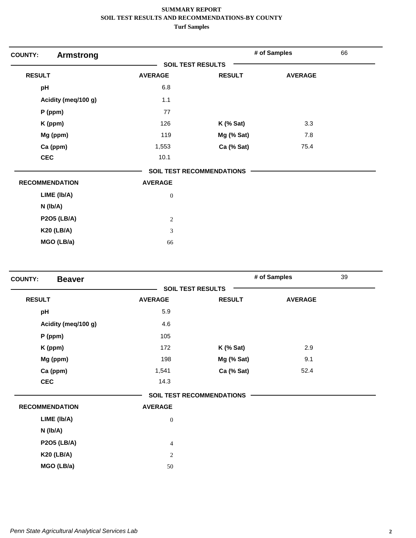| <b>COUNTY:</b><br><b>Armstrong</b> |                          |                                  | # of Samples   | 66 |
|------------------------------------|--------------------------|----------------------------------|----------------|----|
|                                    | <b>SOIL TEST RESULTS</b> |                                  |                |    |
| <b>RESULT</b>                      | <b>AVERAGE</b>           | <b>RESULT</b>                    | <b>AVERAGE</b> |    |
| pH                                 | 6.8                      |                                  |                |    |
| Acidity (meq/100 g)                | 1.1                      |                                  |                |    |
| P (ppm)                            | 77                       |                                  |                |    |
| K (ppm)                            | 126                      | $K$ (% Sat)                      | 3.3            |    |
| Mg (ppm)                           | 119                      | Mg (% Sat)                       | 7.8            |    |
| Ca (ppm)                           | 1,553                    | Ca (% Sat)                       | 75.4           |    |
| <b>CEC</b>                         | 10.1                     |                                  |                |    |
|                                    |                          | <b>SOIL TEST RECOMMENDATIONS</b> |                |    |
| <b>RECOMMENDATION</b>              | <b>AVERAGE</b>           |                                  |                |    |
| LIME (Ib/A)                        | $\boldsymbol{0}$         |                                  |                |    |
| $N$ (lb/A)                         |                          |                                  |                |    |
| <b>P2O5 (LB/A)</b>                 | $\sqrt{2}$               |                                  |                |    |
| <b>K20 (LB/A)</b>                  | 3                        |                                  |                |    |
| MGO (LB/a)                         | 66                       |                                  |                |    |

| <b>Beaver</b>         |                          |                                  | # of Samples   | 39 |
|-----------------------|--------------------------|----------------------------------|----------------|----|
|                       | <b>SOIL TEST RESULTS</b> |                                  |                |    |
| <b>RESULT</b>         | <b>AVERAGE</b>           | <b>RESULT</b>                    | <b>AVERAGE</b> |    |
| pH                    | 5.9                      |                                  |                |    |
| Acidity (meg/100 g)   | 4.6                      |                                  |                |    |
| P (ppm)               | 105                      |                                  |                |    |
| K (ppm)               | 172                      | $K$ (% Sat)                      | 2.9            |    |
| Mg (ppm)              | 198                      | Mg (% Sat)                       | 9.1            |    |
| Ca (ppm)              | 1,541                    | Ca (% Sat)                       | 52.4           |    |
| <b>CEC</b>            | 14.3                     |                                  |                |    |
|                       |                          | <b>SOIL TEST RECOMMENDATIONS</b> |                |    |
| <b>RECOMMENDATION</b> | <b>AVERAGE</b>           |                                  |                |    |
| LIME (Ib/A)           | $\mathbf{0}$             |                                  |                |    |
| $N$ ( $lb/A$ )        |                          |                                  |                |    |
| <b>P2O5 (LB/A)</b>    | $\overline{4}$           |                                  |                |    |
| <b>K20 (LB/A)</b>     | 2                        |                                  |                |    |
| MGO (LB/a)            | 50                       |                                  |                |    |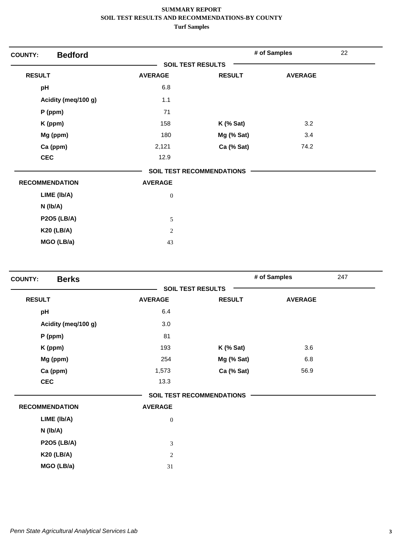| <b>Bedford</b><br><b>COUNTY:</b> |                          |                                  | # of Samples   | 22 |
|----------------------------------|--------------------------|----------------------------------|----------------|----|
|                                  | <b>SOIL TEST RESULTS</b> |                                  |                |    |
| <b>RESULT</b>                    | <b>AVERAGE</b>           | <b>RESULT</b>                    | <b>AVERAGE</b> |    |
| pH                               | 6.8                      |                                  |                |    |
| Acidity (meq/100 g)              | 1.1                      |                                  |                |    |
| P (ppm)                          | 71                       |                                  |                |    |
| K (ppm)                          | 158                      | $K$ (% Sat)                      | 3.2            |    |
| Mg (ppm)                         | 180                      | Mg (% Sat)                       | 3.4            |    |
| Ca (ppm)                         | 2,121                    | Ca (% Sat)                       | 74.2           |    |
| <b>CEC</b>                       | 12.9                     |                                  |                |    |
|                                  |                          | <b>SOIL TEST RECOMMENDATIONS</b> |                |    |
| <b>RECOMMENDATION</b>            | <b>AVERAGE</b>           |                                  |                |    |
| LIME (Ib/A)                      | $\boldsymbol{0}$         |                                  |                |    |
| $N$ (lb/A)                       |                          |                                  |                |    |
| <b>P2O5 (LB/A)</b>               | 5                        |                                  |                |    |
| <b>K20 (LB/A)</b>                | 2                        |                                  |                |    |
| MGO (LB/a)                       | 43                       |                                  |                |    |

| <b>Berks</b><br><b>COUNTY:</b> |                          |                                  | # of Samples   | 247 |
|--------------------------------|--------------------------|----------------------------------|----------------|-----|
|                                | <b>SOIL TEST RESULTS</b> |                                  |                |     |
| <b>RESULT</b>                  | <b>AVERAGE</b>           | <b>RESULT</b>                    | <b>AVERAGE</b> |     |
| pH                             | 6.4                      |                                  |                |     |
| Acidity (meq/100 g)            | 3.0                      |                                  |                |     |
| $P$ (ppm)                      | 81                       |                                  |                |     |
| K (ppm)                        | 193                      | $K$ (% Sat)                      | 3.6            |     |
| Mg (ppm)                       | 254                      | Mg (% Sat)                       | 6.8            |     |
| Ca (ppm)                       | 1,573                    | Ca (% Sat)                       | 56.9           |     |
| <b>CEC</b>                     | 13.3                     |                                  |                |     |
|                                |                          | <b>SOIL TEST RECOMMENDATIONS</b> |                |     |
| <b>RECOMMENDATION</b>          | <b>AVERAGE</b>           |                                  |                |     |
| LIME (Ib/A)                    | $\boldsymbol{0}$         |                                  |                |     |
| N (lb/A)                       |                          |                                  |                |     |
| <b>P2O5 (LB/A)</b>             | 3                        |                                  |                |     |
| <b>K20 (LB/A)</b>              | $\mathbf{2}$             |                                  |                |     |
| MGO (LB/a)                     | 31                       |                                  |                |     |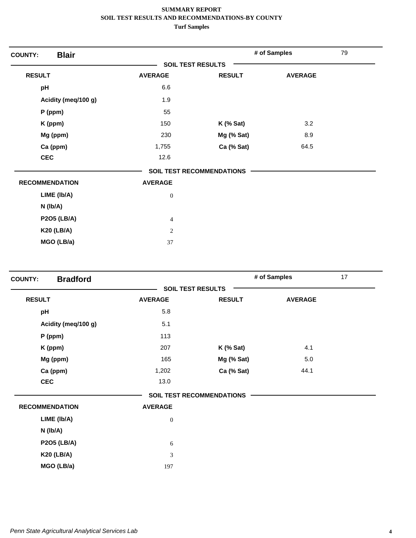| <b>Blair</b><br><b>COUNTY:</b> |                          |                                  | # of Samples   | 79 |
|--------------------------------|--------------------------|----------------------------------|----------------|----|
|                                | <b>SOIL TEST RESULTS</b> |                                  |                |    |
| <b>RESULT</b>                  | <b>AVERAGE</b>           | <b>RESULT</b>                    | <b>AVERAGE</b> |    |
| pH                             | 6.6                      |                                  |                |    |
| Acidity (meq/100 g)            | 1.9                      |                                  |                |    |
| $P$ (ppm)                      | 55                       |                                  |                |    |
| K (ppm)                        | 150                      | $K$ (% Sat)                      | 3.2            |    |
| Mg (ppm)                       | 230                      | Mg (% Sat)                       | 8.9            |    |
| Ca (ppm)                       | 1,755                    | Ca (% Sat)                       | 64.5           |    |
| <b>CEC</b>                     | 12.6                     |                                  |                |    |
|                                |                          | <b>SOIL TEST RECOMMENDATIONS</b> |                |    |
| <b>RECOMMENDATION</b>          | <b>AVERAGE</b>           |                                  |                |    |
| LIME (Ib/A)                    | $\boldsymbol{0}$         |                                  |                |    |
| $N$ ( $lb/A$ )                 |                          |                                  |                |    |
| <b>P2O5 (LB/A)</b>             | $\overline{4}$           |                                  |                |    |
| <b>K20 (LB/A)</b>              | $\overline{2}$           |                                  |                |    |
| MGO (LB/a)                     | 37                       |                                  |                |    |

| <b>Bradford</b><br><b>COUNTY:</b> |                |                                  | # of Samples   | 17 |
|-----------------------------------|----------------|----------------------------------|----------------|----|
|                                   |                | <b>SOIL TEST RESULTS</b>         |                |    |
| <b>RESULT</b>                     | <b>AVERAGE</b> | <b>RESULT</b>                    | <b>AVERAGE</b> |    |
| pH                                | 5.8            |                                  |                |    |
| Acidity (meq/100 g)               | 5.1            |                                  |                |    |
| $P$ (ppm)                         | 113            |                                  |                |    |
| K (ppm)                           | 207            | $K$ (% Sat)                      | 4.1            |    |
| Mg (ppm)                          | 165            | Mg (% Sat)                       | 5.0            |    |
| Ca (ppm)                          | 1,202          | Ca (% Sat)                       | 44.1           |    |
| <b>CEC</b>                        | 13.0           |                                  |                |    |
|                                   |                | <b>SOIL TEST RECOMMENDATIONS</b> |                |    |
| <b>RECOMMENDATION</b>             | <b>AVERAGE</b> |                                  |                |    |
| LIME (Ib/A)                       | $\mathbf{0}$   |                                  |                |    |
| $N$ ( $lb/A$ )                    |                |                                  |                |    |
| <b>P2O5 (LB/A)</b>                | 6              |                                  |                |    |
| <b>K20 (LB/A)</b>                 | 3              |                                  |                |    |
| MGO (LB/a)                        | 197            |                                  |                |    |
|                                   |                |                                  |                |    |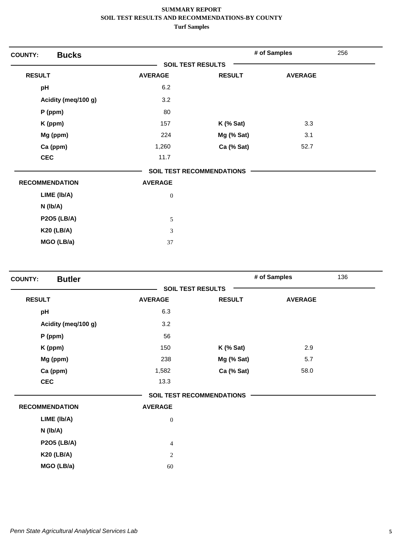| <b>Bucks</b><br><b>COUNTY:</b> |                          |                                  | # of Samples   | 256 |
|--------------------------------|--------------------------|----------------------------------|----------------|-----|
|                                | <b>SOIL TEST RESULTS</b> |                                  |                |     |
| <b>RESULT</b>                  | <b>AVERAGE</b>           | <b>RESULT</b>                    | <b>AVERAGE</b> |     |
| pH                             | 6.2                      |                                  |                |     |
| Acidity (meq/100 g)            | 3.2                      |                                  |                |     |
| $P$ (ppm)                      | 80                       |                                  |                |     |
| K (ppm)                        | 157                      | $K$ (% Sat)                      | 3.3            |     |
| Mg (ppm)                       | 224                      | Mg (% Sat)                       | 3.1            |     |
| Ca (ppm)                       | 1,260                    | Ca (% Sat)                       | 52.7           |     |
| <b>CEC</b>                     | 11.7                     |                                  |                |     |
|                                |                          | <b>SOIL TEST RECOMMENDATIONS</b> |                |     |
| <b>RECOMMENDATION</b>          | <b>AVERAGE</b>           |                                  |                |     |
| LIME (Ib/A)                    | $\boldsymbol{0}$         |                                  |                |     |
| $N$ ( $lb/A$ )                 |                          |                                  |                |     |
| <b>P2O5 (LB/A)</b>             | $\sqrt{5}$               |                                  |                |     |
| <b>K20 (LB/A)</b>              | 3                        |                                  |                |     |
| MGO (LB/a)                     | 37                       |                                  |                |     |

| <b>Butler</b><br><b>COUNTY:</b> |                          |                                  | # of Samples   | 136 |
|---------------------------------|--------------------------|----------------------------------|----------------|-----|
|                                 | <b>SOIL TEST RESULTS</b> |                                  |                |     |
| <b>RESULT</b>                   | <b>AVERAGE</b>           | <b>RESULT</b>                    | <b>AVERAGE</b> |     |
| pH                              | 6.3                      |                                  |                |     |
| Acidity (meg/100 g)             | 3.2                      |                                  |                |     |
| P (ppm)                         | 56                       |                                  |                |     |
| K (ppm)                         | 150                      | $K$ (% Sat)                      | 2.9            |     |
| Mg (ppm)                        | 238                      | Mg (% Sat)                       | 5.7            |     |
| Ca (ppm)                        | 1,582                    | Ca (% Sat)                       | 58.0           |     |
| <b>CEC</b>                      | 13.3                     |                                  |                |     |
|                                 |                          | <b>SOIL TEST RECOMMENDATIONS</b> |                |     |
| <b>RECOMMENDATION</b>           | <b>AVERAGE</b>           |                                  |                |     |
| LIME (Ib/A)                     | $\boldsymbol{0}$         |                                  |                |     |
| $N$ ( $lb/A$ )                  |                          |                                  |                |     |
| <b>P2O5 (LB/A)</b>              | $\overline{4}$           |                                  |                |     |
| <b>K20 (LB/A)</b>               | 2                        |                                  |                |     |
| MGO (LB/a)                      | 60                       |                                  |                |     |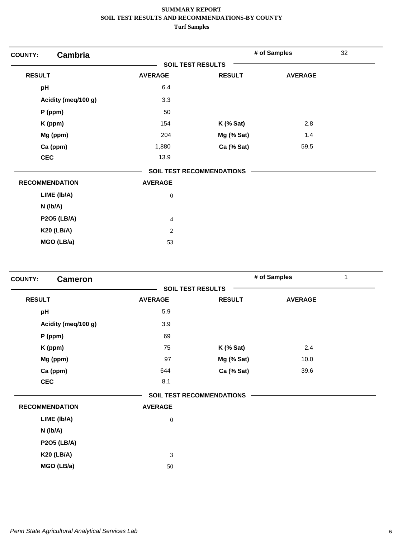| <b>Cambria</b><br><b>COUNTY:</b> |                          |                                  | # of Samples   | 32 |
|----------------------------------|--------------------------|----------------------------------|----------------|----|
|                                  | <b>SOIL TEST RESULTS</b> |                                  |                |    |
| <b>RESULT</b>                    | <b>AVERAGE</b>           | <b>RESULT</b>                    | <b>AVERAGE</b> |    |
| pH                               | 6.4                      |                                  |                |    |
| Acidity (meq/100 g)              | 3.3                      |                                  |                |    |
| P (ppm)                          | 50                       |                                  |                |    |
| K (ppm)                          | 154                      | $K$ (% Sat)                      | 2.8            |    |
| Mg (ppm)                         | 204                      | Mg (% Sat)                       | 1.4            |    |
| Ca (ppm)                         | 1,880                    | Ca (% Sat)                       | 59.5           |    |
| <b>CEC</b>                       | 13.9                     |                                  |                |    |
|                                  |                          | <b>SOIL TEST RECOMMENDATIONS</b> |                |    |
| <b>RECOMMENDATION</b>            | <b>AVERAGE</b>           |                                  |                |    |
| LIME (Ib/A)                      | $\boldsymbol{0}$         |                                  |                |    |
| $N$ (lb/A)                       |                          |                                  |                |    |
| <b>P2O5 (LB/A)</b>               | $\overline{4}$           |                                  |                |    |
| <b>K20 (LB/A)</b>                | $\mathbf{2}$             |                                  |                |    |
| MGO (LB/a)                       | 53                       |                                  |                |    |

| <b>Cameron</b><br><b>COUNTY:</b> |                          |                                  | # of Samples   | 1 |
|----------------------------------|--------------------------|----------------------------------|----------------|---|
|                                  | <b>SOIL TEST RESULTS</b> |                                  |                |   |
| <b>RESULT</b>                    | <b>AVERAGE</b>           | <b>RESULT</b>                    | <b>AVERAGE</b> |   |
| pH                               | 5.9                      |                                  |                |   |
| Acidity (meq/100 g)              | 3.9                      |                                  |                |   |
| P (ppm)                          | 69                       |                                  |                |   |
| K (ppm)                          | 75                       | $K$ (% Sat)                      | 2.4            |   |
| Mg (ppm)                         | 97                       | Mg (% Sat)                       | 10.0           |   |
| Ca (ppm)                         | 644                      | Ca (% Sat)                       | 39.6           |   |
| <b>CEC</b>                       | 8.1                      |                                  |                |   |
|                                  |                          | <b>SOIL TEST RECOMMENDATIONS</b> |                |   |
| <b>RECOMMENDATION</b>            | <b>AVERAGE</b>           |                                  |                |   |
| LIME (Ib/A)                      | $\boldsymbol{0}$         |                                  |                |   |
| $N$ ( $lb/A$ )                   |                          |                                  |                |   |
| <b>P2O5 (LB/A)</b>               |                          |                                  |                |   |
| <b>K20 (LB/A)</b>                | 3                        |                                  |                |   |
| MGO (LB/a)                       | 50                       |                                  |                |   |
|                                  |                          |                                  |                |   |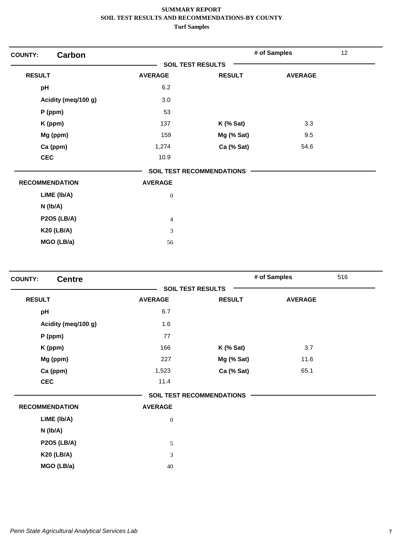| <b>Carbon</b><br><b>COUNTY:</b> |                          |                                  | # of Samples   | 12 |
|---------------------------------|--------------------------|----------------------------------|----------------|----|
|                                 | <b>SOIL TEST RESULTS</b> |                                  |                |    |
| <b>RESULT</b>                   | <b>AVERAGE</b>           | <b>RESULT</b>                    | <b>AVERAGE</b> |    |
| pH                              | 6.2                      |                                  |                |    |
| Acidity (meq/100 g)             | 3.0                      |                                  |                |    |
| $P$ (ppm)                       | 53                       |                                  |                |    |
| K (ppm)                         | 137                      | $K$ (% Sat)                      | 3.3            |    |
| Mg (ppm)                        | 159                      | Mg (% Sat)                       | 9.5            |    |
| Ca (ppm)                        | 1,274                    | Ca (% Sat)                       | 54.6           |    |
| <b>CEC</b>                      | 10.9                     |                                  |                |    |
|                                 |                          | <b>SOIL TEST RECOMMENDATIONS</b> |                |    |
| <b>RECOMMENDATION</b>           | <b>AVERAGE</b>           |                                  |                |    |
| LIME (Ib/A)                     | $\boldsymbol{0}$         |                                  |                |    |
| $N$ ( $lb/A$ )                  |                          |                                  |                |    |
| <b>P2O5 (LB/A)</b>              | $\overline{4}$           |                                  |                |    |
| <b>K20 (LB/A)</b>               | 3                        |                                  |                |    |
| MGO (LB/a)                      | 56                       |                                  |                |    |

| <b>Centre</b><br><b>COUNTY:</b> |                          |                                  | # of Samples   | 516 |
|---------------------------------|--------------------------|----------------------------------|----------------|-----|
|                                 | <b>SOIL TEST RESULTS</b> |                                  |                |     |
| <b>RESULT</b>                   | <b>AVERAGE</b>           | <b>RESULT</b>                    | <b>AVERAGE</b> |     |
| pH                              | 6.7                      |                                  |                |     |
| Acidity (meq/100 g)             | 1.6                      |                                  |                |     |
| $P$ (ppm)                       | 77                       |                                  |                |     |
| K (ppm)                         | 166                      | $K$ (% Sat)                      | 3.7            |     |
| Mg (ppm)                        | 227                      | Mg (% Sat)                       | 11.6           |     |
| Ca (ppm)                        | 1,523                    | Ca (% Sat)                       | 65.1           |     |
| <b>CEC</b>                      | 11.4                     |                                  |                |     |
|                                 |                          | <b>SOIL TEST RECOMMENDATIONS</b> |                |     |
| <b>RECOMMENDATION</b>           | <b>AVERAGE</b>           |                                  |                |     |
| LIME (Ib/A)                     | $\boldsymbol{0}$         |                                  |                |     |
| N (lb/A)                        |                          |                                  |                |     |
| <b>P2O5 (LB/A)</b>              | 5                        |                                  |                |     |
| <b>K20 (LB/A)</b>               | 3                        |                                  |                |     |
| MGO (LB/a)                      | 40                       |                                  |                |     |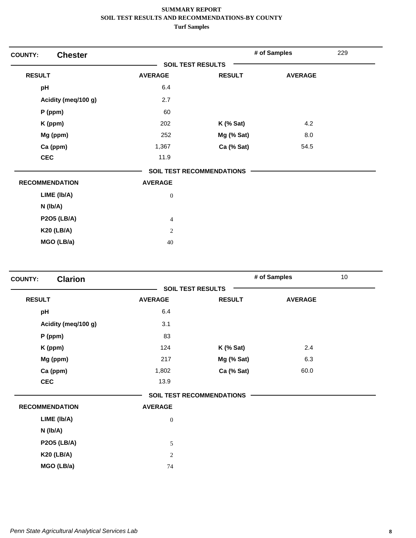| <b>Chester</b><br><b>COUNTY:</b> |                          |                                  | # of Samples   | 229 |
|----------------------------------|--------------------------|----------------------------------|----------------|-----|
|                                  | <b>SOIL TEST RESULTS</b> |                                  |                |     |
| <b>RESULT</b>                    | <b>AVERAGE</b>           | <b>RESULT</b>                    | <b>AVERAGE</b> |     |
| pH                               | 6.4                      |                                  |                |     |
| Acidity (meq/100 g)              | 2.7                      |                                  |                |     |
| $P$ (ppm)                        | 60                       |                                  |                |     |
| K (ppm)                          | 202                      | $K$ (% Sat)                      | 4.2            |     |
| Mg (ppm)                         | 252                      | Mg (% Sat)                       | 8.0            |     |
| Ca (ppm)                         | 1,367                    | Ca (% Sat)                       | 54.5           |     |
| <b>CEC</b>                       | 11.9                     |                                  |                |     |
|                                  |                          | <b>SOIL TEST RECOMMENDATIONS</b> |                |     |
| <b>RECOMMENDATION</b>            | <b>AVERAGE</b>           |                                  |                |     |
| LIME (Ib/A)                      | $\boldsymbol{0}$         |                                  |                |     |
| N (lb/A)                         |                          |                                  |                |     |
| <b>P2O5 (LB/A)</b>               | $\overline{4}$           |                                  |                |     |
| <b>K20 (LB/A)</b>                | $\sqrt{2}$               |                                  |                |     |
| MGO (LB/a)                       | 40                       |                                  |                |     |

| <b>Clarion</b><br><b>SOIL TEST RESULTS</b><br><b>RESULT</b><br><b>AVERAGE</b><br><b>RESULT</b><br><b>AVERAGE</b><br>6.4<br>pH<br>3.1<br>Acidity (meg/100 g)<br>83<br>P (ppm)<br>124<br>$K$ (% Sat)<br>K (ppm)<br>Mg (ppm)<br>217<br>Mg (% Sat) | 10 <sup>1</sup> |
|------------------------------------------------------------------------------------------------------------------------------------------------------------------------------------------------------------------------------------------------|-----------------|
|                                                                                                                                                                                                                                                |                 |
|                                                                                                                                                                                                                                                |                 |
|                                                                                                                                                                                                                                                |                 |
|                                                                                                                                                                                                                                                |                 |
|                                                                                                                                                                                                                                                |                 |
|                                                                                                                                                                                                                                                | 2.4             |
|                                                                                                                                                                                                                                                | 6.3             |
| Ca (ppm)<br>1,802<br>Ca (% Sat)                                                                                                                                                                                                                | 60.0            |
| <b>CEC</b><br>13.9                                                                                                                                                                                                                             |                 |
| <b>SOIL TEST RECOMMENDATIONS</b>                                                                                                                                                                                                               |                 |
| <b>RECOMMENDATION</b><br><b>AVERAGE</b>                                                                                                                                                                                                        |                 |
| LIME (Ib/A)<br>$\mathbf{0}$                                                                                                                                                                                                                    |                 |
| $N$ ( $lb/A$ )                                                                                                                                                                                                                                 |                 |
| <b>P2O5 (LB/A)</b><br>5                                                                                                                                                                                                                        |                 |
| <b>K20 (LB/A)</b><br>2                                                                                                                                                                                                                         |                 |
| MGO (LB/a)<br>74                                                                                                                                                                                                                               |                 |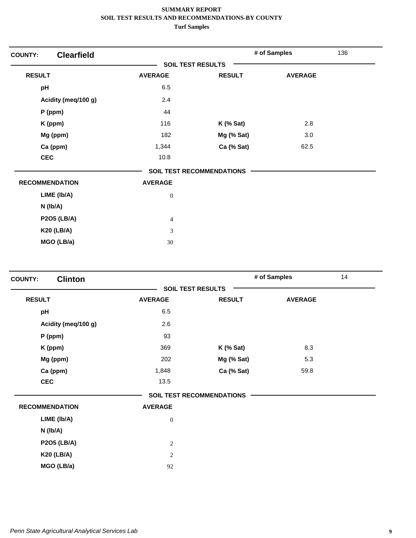| <b>Clearfield</b><br><b>COUNTY:</b> |                             |                                  | # of Samples   | 136 |
|-------------------------------------|-----------------------------|----------------------------------|----------------|-----|
|                                     | <b>SOIL TEST RESULTS</b>    |                                  |                |     |
| <b>RESULT</b>                       | <b>AVERAGE</b>              | <b>RESULT</b>                    | <b>AVERAGE</b> |     |
| pH                                  | 6.5                         |                                  |                |     |
| Acidity (meq/100 g)                 | 2.4                         |                                  |                |     |
| $P$ (ppm)                           | 44                          |                                  |                |     |
| K (ppm)                             | 116                         | $K$ (% Sat)                      | 2.8            |     |
| Mg (ppm)                            | 182                         | Mg (% Sat)                       | 3.0            |     |
| Ca (ppm)                            | 1,344                       | Ca (% Sat)                       | 62.5           |     |
| <b>CEC</b>                          | 10.8                        |                                  |                |     |
|                                     |                             | <b>SOIL TEST RECOMMENDATIONS</b> |                |     |
| <b>RECOMMENDATION</b>               | <b>AVERAGE</b>              |                                  |                |     |
| LIME (Ib/A)                         | $\boldsymbol{0}$            |                                  |                |     |
| N (Ib/A)                            |                             |                                  |                |     |
| <b>P2O5 (LB/A)</b>                  | $\overline{4}$              |                                  |                |     |
| <b>K20 (LB/A)</b>                   | $\ensuremath{\mathfrak{Z}}$ |                                  |                |     |
| MGO (LB/a)                          | 30                          |                                  |                |     |

| <b>Clinton</b><br><b>COUNTY:</b> |                |                                  | # of Samples   | 14 |
|----------------------------------|----------------|----------------------------------|----------------|----|
|                                  |                | <b>SOIL TEST RESULTS</b>         |                |    |
| <b>RESULT</b>                    | <b>AVERAGE</b> | <b>RESULT</b>                    | <b>AVERAGE</b> |    |
| pH                               | 6.5            |                                  |                |    |
| Acidity (meg/100 g)              | 2.6            |                                  |                |    |
| P (ppm)                          | 93             |                                  |                |    |
| K (ppm)                          | 369            | $K$ (% Sat)                      | 8.3            |    |
| Mg (ppm)                         | 202            | Mg (% Sat)                       | 5.3            |    |
| Ca (ppm)                         | 1,848          | Ca (% Sat)                       | 59.8           |    |
| <b>CEC</b>                       | 13.5           |                                  |                |    |
|                                  |                | <b>SOIL TEST RECOMMENDATIONS</b> |                |    |
| <b>RECOMMENDATION</b>            | <b>AVERAGE</b> |                                  |                |    |
| LIME (Ib/A)                      | $\mathbf{0}$   |                                  |                |    |
| $N$ ( $lb/A$ )                   |                |                                  |                |    |
| <b>P2O5 (LB/A)</b>               | $\overline{2}$ |                                  |                |    |
| <b>K20 (LB/A)</b>                | 2              |                                  |                |    |
| MGO (LB/a)                       | 92             |                                  |                |    |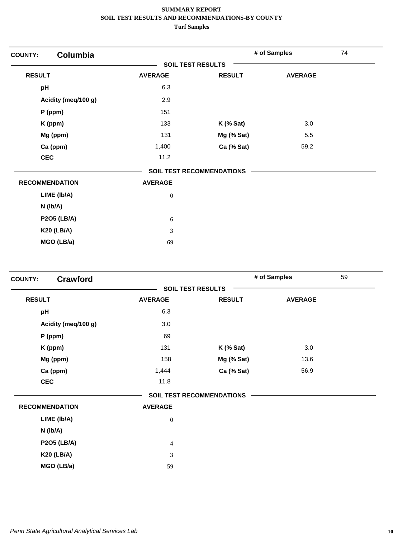| <b>COUNTY:</b> | Columbia              |                          |                           | # of Samples   | 74 |
|----------------|-----------------------|--------------------------|---------------------------|----------------|----|
|                |                       | <b>SOIL TEST RESULTS</b> |                           |                |    |
| <b>RESULT</b>  |                       | <b>AVERAGE</b>           | <b>RESULT</b>             | <b>AVERAGE</b> |    |
| pH             |                       | 6.3                      |                           |                |    |
|                | Acidity (meq/100 g)   | 2.9                      |                           |                |    |
|                | $P$ (ppm)             | 151                      |                           |                |    |
|                | K (ppm)               | 133                      | $K$ (% Sat)               | 3.0            |    |
|                | Mg (ppm)              | 131                      | Mg (% Sat)                | 5.5            |    |
|                | Ca (ppm)              | 1,400                    | Ca (% Sat)                | 59.2           |    |
| <b>CEC</b>     |                       | 11.2                     |                           |                |    |
|                |                       |                          | SOIL TEST RECOMMENDATIONS |                |    |
|                | <b>RECOMMENDATION</b> | <b>AVERAGE</b>           |                           |                |    |
|                | LIME (Ib/A)           | $\boldsymbol{0}$         |                           |                |    |
|                | N (Ib/A)              |                          |                           |                |    |
|                | <b>P2O5 (LB/A)</b>    | 6                        |                           |                |    |
|                | <b>K20 (LB/A)</b>     | $\mathfrak{Z}$           |                           |                |    |
|                | MGO (LB/a)            | 69                       |                           |                |    |

| <b>Crawford</b><br><b>SOIL TEST RESULTS</b><br><b>RESULT</b><br><b>AVERAGE</b><br><b>RESULT</b><br><b>AVERAGE</b><br>6.3<br>pH<br>3.0<br>Acidity (meq/100 g)<br>69<br>$P$ (ppm)<br>131<br>3.0<br>K (ppm)<br>$K$ (% Sat)<br>Mg (ppm)<br>158<br>Mg (% Sat)<br>13.6<br>56.9<br>Ca (ppm)<br>1,444<br>Ca (% Sat)<br><b>CEC</b><br>11.8<br><b>SOIL TEST RECOMMENDATIONS</b><br><b>RECOMMENDATION</b><br><b>AVERAGE</b> | 59 |
|------------------------------------------------------------------------------------------------------------------------------------------------------------------------------------------------------------------------------------------------------------------------------------------------------------------------------------------------------------------------------------------------------------------|----|
|                                                                                                                                                                                                                                                                                                                                                                                                                  |    |
|                                                                                                                                                                                                                                                                                                                                                                                                                  |    |
|                                                                                                                                                                                                                                                                                                                                                                                                                  |    |
|                                                                                                                                                                                                                                                                                                                                                                                                                  |    |
|                                                                                                                                                                                                                                                                                                                                                                                                                  |    |
|                                                                                                                                                                                                                                                                                                                                                                                                                  |    |
|                                                                                                                                                                                                                                                                                                                                                                                                                  |    |
|                                                                                                                                                                                                                                                                                                                                                                                                                  |    |
|                                                                                                                                                                                                                                                                                                                                                                                                                  |    |
|                                                                                                                                                                                                                                                                                                                                                                                                                  |    |
|                                                                                                                                                                                                                                                                                                                                                                                                                  |    |
| LIME (Ib/A)<br>$\boldsymbol{0}$                                                                                                                                                                                                                                                                                                                                                                                  |    |
| $N$ ( $lb/A$ )                                                                                                                                                                                                                                                                                                                                                                                                   |    |
| <b>P2O5 (LB/A)</b><br>$\overline{4}$                                                                                                                                                                                                                                                                                                                                                                             |    |
| <b>K20 (LB/A)</b><br>3                                                                                                                                                                                                                                                                                                                                                                                           |    |
| MGO (LB/a)<br>59                                                                                                                                                                                                                                                                                                                                                                                                 |    |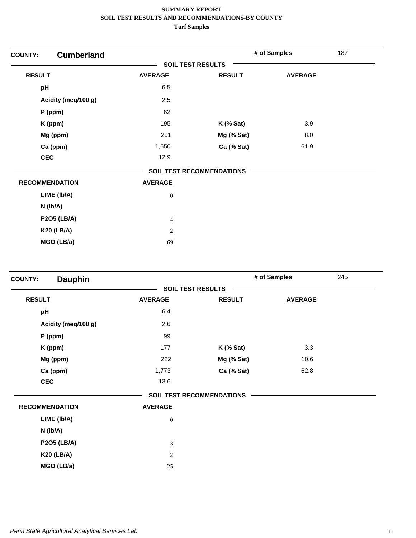| <b>COUNTY:</b>        | <b>Cumberland</b>   |                          |                                  | # of Samples   | 187 |
|-----------------------|---------------------|--------------------------|----------------------------------|----------------|-----|
|                       |                     | <b>SOIL TEST RESULTS</b> |                                  |                |     |
| <b>RESULT</b>         |                     | <b>AVERAGE</b>           | <b>RESULT</b>                    | <b>AVERAGE</b> |     |
| pH                    |                     | 6.5                      |                                  |                |     |
|                       | Acidity (meq/100 g) | 2.5                      |                                  |                |     |
|                       | $P$ (ppm)           | 62                       |                                  |                |     |
|                       | K (ppm)             | 195                      | $K$ (% Sat)                      | 3.9            |     |
|                       | Mg (ppm)            | 201                      | Mg (% Sat)                       | 8.0            |     |
|                       | Ca (ppm)            | 1,650                    | Ca (% Sat)                       | 61.9           |     |
| <b>CEC</b>            |                     | 12.9                     |                                  |                |     |
|                       |                     |                          | <b>SOIL TEST RECOMMENDATIONS</b> |                |     |
| <b>RECOMMENDATION</b> |                     | <b>AVERAGE</b>           |                                  |                |     |
|                       | LIME (Ib/A)         | $\boldsymbol{0}$         |                                  |                |     |
|                       | $N$ (lb/A)          |                          |                                  |                |     |
|                       | <b>P2O5 (LB/A)</b>  | $\overline{4}$           |                                  |                |     |
|                       | <b>K20 (LB/A)</b>   | $\overline{c}$           |                                  |                |     |
|                       | MGO (LB/a)          | 69                       |                                  |                |     |

| <b>Dauphin</b><br><b>COUNTY:</b> |                          |                                  | # of Samples   | 245 |
|----------------------------------|--------------------------|----------------------------------|----------------|-----|
|                                  | <b>SOIL TEST RESULTS</b> |                                  |                |     |
| <b>RESULT</b>                    | <b>AVERAGE</b>           | <b>RESULT</b>                    | <b>AVERAGE</b> |     |
| pH                               | 6.4                      |                                  |                |     |
| Acidity (meq/100 g)              | 2.6                      |                                  |                |     |
| $P$ (ppm)                        | 99                       |                                  |                |     |
| K (ppm)                          | 177                      | $K$ (% Sat)                      | 3.3            |     |
| Mg (ppm)                         | 222                      | Mg (% Sat)                       | 10.6           |     |
| Ca (ppm)                         | 1,773                    | Ca (% Sat)                       | 62.8           |     |
| <b>CEC</b>                       | 13.6                     |                                  |                |     |
|                                  |                          | <b>SOIL TEST RECOMMENDATIONS</b> |                |     |
| <b>RECOMMENDATION</b>            | <b>AVERAGE</b>           |                                  |                |     |
| LIME (Ib/A)                      | $\boldsymbol{0}$         |                                  |                |     |
| $N$ ( $lb/A$ )                   |                          |                                  |                |     |
| <b>P2O5 (LB/A)</b>               | $\mathfrak{Z}$           |                                  |                |     |
| <b>K20 (LB/A)</b>                | $\sqrt{2}$               |                                  |                |     |
| MGO (LB/a)                       | 25                       |                                  |                |     |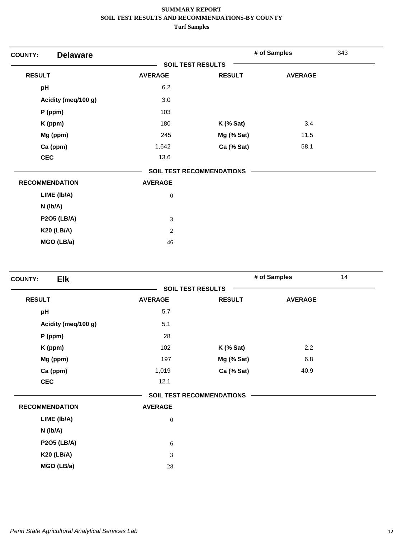| <b>Delaware</b><br><b>COUNTY:</b> |                          |                                  | # of Samples   | 343 |
|-----------------------------------|--------------------------|----------------------------------|----------------|-----|
|                                   | <b>SOIL TEST RESULTS</b> |                                  |                |     |
| <b>RESULT</b>                     | <b>AVERAGE</b>           | <b>RESULT</b>                    | <b>AVERAGE</b> |     |
| pH                                | 6.2                      |                                  |                |     |
| Acidity (meq/100 g)               | 3.0                      |                                  |                |     |
| P (ppm)                           | 103                      |                                  |                |     |
| K (ppm)                           | 180                      | $K$ (% Sat)                      | 3.4            |     |
| Mg (ppm)                          | 245                      | Mg (% Sat)                       | 11.5           |     |
| Ca (ppm)                          | 1,642                    | Ca (% Sat)                       | 58.1           |     |
| <b>CEC</b>                        | 13.6                     |                                  |                |     |
|                                   |                          | <b>SOIL TEST RECOMMENDATIONS</b> |                |     |
| <b>RECOMMENDATION</b>             | <b>AVERAGE</b>           |                                  |                |     |
| LIME (Ib/A)                       | $\boldsymbol{0}$         |                                  |                |     |
| $N$ (lb/A)                        |                          |                                  |                |     |
| <b>P2O5 (LB/A)</b>                | $\mathfrak{Z}$           |                                  |                |     |
| <b>K20 (LB/A)</b>                 | 2                        |                                  |                |     |
| MGO (LB/a)                        | 46                       |                                  |                |     |

| <b>Elk</b><br><b>COUNTY:</b> |                  |                                  | # of Samples   | 14 |
|------------------------------|------------------|----------------------------------|----------------|----|
|                              |                  | <b>SOIL TEST RESULTS</b>         |                |    |
| <b>RESULT</b>                | <b>AVERAGE</b>   | <b>RESULT</b>                    | <b>AVERAGE</b> |    |
| pH                           | 5.7              |                                  |                |    |
| Acidity (meq/100 g)          | 5.1              |                                  |                |    |
| P (ppm)                      | 28               |                                  |                |    |
| K (ppm)                      | 102              | $K$ (% Sat)                      | 2.2            |    |
| Mg (ppm)                     | 197              | Mg (% Sat)                       | 6.8            |    |
| Ca (ppm)                     | 1,019            | Ca (% Sat)                       | 40.9           |    |
| <b>CEC</b>                   | 12.1             |                                  |                |    |
|                              |                  | <b>SOIL TEST RECOMMENDATIONS</b> |                |    |
| <b>RECOMMENDATION</b>        | <b>AVERAGE</b>   |                                  |                |    |
| LIME (Ib/A)                  | $\boldsymbol{0}$ |                                  |                |    |
| N (lb/A)                     |                  |                                  |                |    |
| <b>P2O5 (LB/A)</b>           | $\sqrt{6}$       |                                  |                |    |
| <b>K20 (LB/A)</b>            | 3                |                                  |                |    |
| MGO (LB/a)                   | 28               |                                  |                |    |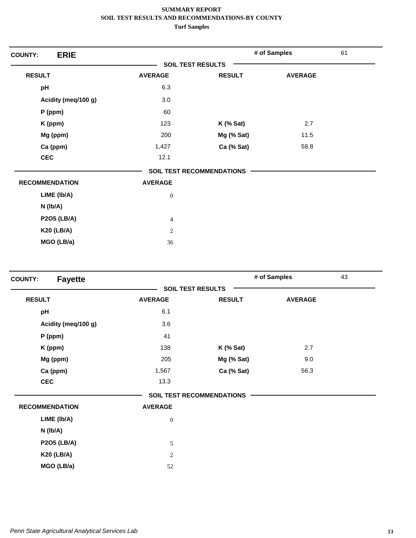| <b>ERIE</b><br><b>COUNTY:</b> |                          |                           | # of Samples   | 61 |
|-------------------------------|--------------------------|---------------------------|----------------|----|
|                               | <b>SOIL TEST RESULTS</b> |                           |                |    |
| <b>RESULT</b>                 | <b>AVERAGE</b>           | <b>RESULT</b>             | <b>AVERAGE</b> |    |
| pH                            | 6.3                      |                           |                |    |
| Acidity (meq/100 g)           | 3.0                      |                           |                |    |
| $P$ (ppm)                     | 60                       |                           |                |    |
| K (ppm)                       | 123                      | $K$ (% Sat)               | 2.7            |    |
| Mg (ppm)                      | 200                      | Mg (% Sat)                | 11.5           |    |
| Ca (ppm)                      | 1,427                    | Ca (% Sat)                | 58.8           |    |
| <b>CEC</b>                    | 12.1                     |                           |                |    |
|                               |                          | SOIL TEST RECOMMENDATIONS |                |    |
| <b>RECOMMENDATION</b>         | <b>AVERAGE</b>           |                           |                |    |
| LIME (Ib/A)                   | $\boldsymbol{0}$         |                           |                |    |
| N (Ib/A)                      |                          |                           |                |    |
| <b>P2O5 (LB/A)</b>            | $\overline{4}$           |                           |                |    |
| <b>K20 (LB/A)</b>             | $\sqrt{2}$               |                           |                |    |
| MGO (LB/a)                    | 36                       |                           |                |    |

| <b>Fayette</b><br><b>COUNTY:</b> |                          |                                  | # of Samples   | 43 |
|----------------------------------|--------------------------|----------------------------------|----------------|----|
|                                  | <b>SOIL TEST RESULTS</b> |                                  |                |    |
| <b>RESULT</b>                    | <b>AVERAGE</b>           | <b>RESULT</b>                    | <b>AVERAGE</b> |    |
| pH                               | 6.1                      |                                  |                |    |
| Acidity (meq/100 g)              | 3.6                      |                                  |                |    |
| $P$ (ppm)                        | 41                       |                                  |                |    |
| K (ppm)                          | 138                      | $K$ (% Sat)                      | 2.7            |    |
| Mg (ppm)                         | 205                      | Mg (% Sat)                       | 9.0            |    |
| Ca (ppm)                         | 1,567                    | Ca (% Sat)                       | 56.3           |    |
| <b>CEC</b>                       | 13.3                     |                                  |                |    |
|                                  |                          | <b>SOIL TEST RECOMMENDATIONS</b> |                |    |
| <b>RECOMMENDATION</b>            | <b>AVERAGE</b>           |                                  |                |    |
| LIME (Ib/A)                      | $\boldsymbol{0}$         |                                  |                |    |
| $N$ ( $lb/A$ )                   |                          |                                  |                |    |
| <b>P2O5 (LB/A)</b>               | 5                        |                                  |                |    |
| <b>K20 (LB/A)</b>                | $\sqrt{2}$               |                                  |                |    |
| MGO (LB/a)                       | 52                       |                                  |                |    |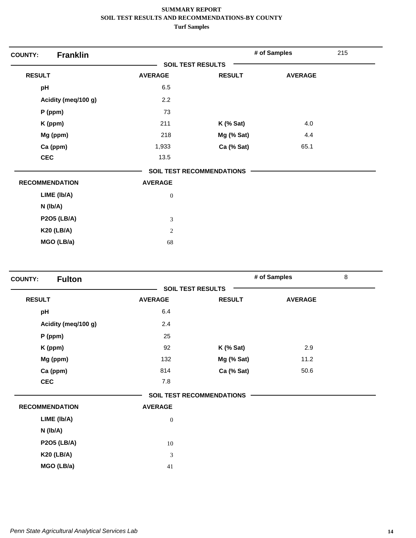| <b>Franklin</b><br><b>COUNTY:</b> |                          |                                  | # of Samples   | 215 |
|-----------------------------------|--------------------------|----------------------------------|----------------|-----|
|                                   | <b>SOIL TEST RESULTS</b> |                                  |                |     |
| <b>RESULT</b>                     | <b>AVERAGE</b>           | <b>RESULT</b>                    | <b>AVERAGE</b> |     |
| pH                                | 6.5                      |                                  |                |     |
| Acidity (meq/100 g)               | 2.2                      |                                  |                |     |
| $P$ (ppm)                         | 73                       |                                  |                |     |
| K (ppm)                           | 211                      | $K$ (% Sat)                      | 4.0            |     |
| Mg (ppm)                          | 218                      | Mg (% Sat)                       | 4.4            |     |
| Ca (ppm)                          | 1,933                    | Ca (% Sat)                       | 65.1           |     |
| <b>CEC</b>                        | 13.5                     |                                  |                |     |
|                                   |                          | <b>SOIL TEST RECOMMENDATIONS</b> |                |     |
| <b>RECOMMENDATION</b>             | <b>AVERAGE</b>           |                                  |                |     |
| LIME (Ib/A)                       | $\boldsymbol{0}$         |                                  |                |     |
| $N$ (lb/A)                        |                          |                                  |                |     |
| <b>P2O5 (LB/A)</b>                | 3                        |                                  |                |     |
| <b>K20 (LB/A)</b>                 | $\mathbf{2}$             |                                  |                |     |
| MGO (LB/a)                        | 68                       |                                  |                |     |

| <b>Fulton</b><br><b>COUNTY:</b> |                          |                                  | # of Samples   | 8 |
|---------------------------------|--------------------------|----------------------------------|----------------|---|
|                                 | <b>SOIL TEST RESULTS</b> |                                  |                |   |
| <b>RESULT</b>                   | <b>AVERAGE</b>           | <b>RESULT</b>                    | <b>AVERAGE</b> |   |
| pH                              | 6.4                      |                                  |                |   |
| Acidity (meq/100 g)             | 2.4                      |                                  |                |   |
| $P$ (ppm)                       | 25                       |                                  |                |   |
| K (ppm)                         | 92                       | $K$ (% Sat)                      | 2.9            |   |
| Mg (ppm)                        | 132                      | Mg (% Sat)                       | 11.2           |   |
| Ca (ppm)                        | 814                      | Ca (% Sat)                       | 50.6           |   |
| <b>CEC</b>                      | 7.8                      |                                  |                |   |
|                                 |                          | <b>SOIL TEST RECOMMENDATIONS</b> |                |   |
| <b>RECOMMENDATION</b>           | <b>AVERAGE</b>           |                                  |                |   |
| LIME (Ib/A)                     | $\boldsymbol{0}$         |                                  |                |   |
| $N$ (lb/A)                      |                          |                                  |                |   |
| <b>P2O5 (LB/A)</b>              | 10                       |                                  |                |   |
| <b>K20 (LB/A)</b>               | $\mathfrak 3$            |                                  |                |   |
| MGO (LB/a)                      | 41                       |                                  |                |   |
|                                 |                          |                                  |                |   |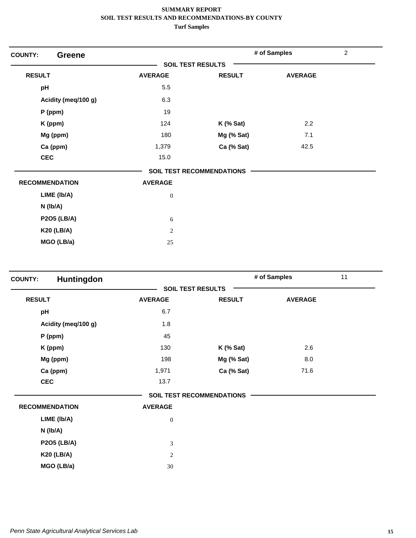| <b>COUNTY:</b><br><b>Greene</b> |                          |                           | # of Samples   | $\overline{c}$ |
|---------------------------------|--------------------------|---------------------------|----------------|----------------|
|                                 | <b>SOIL TEST RESULTS</b> |                           |                |                |
| <b>RESULT</b>                   | <b>AVERAGE</b>           | <b>RESULT</b>             | <b>AVERAGE</b> |                |
| pH                              | 5.5                      |                           |                |                |
| Acidity (meq/100 g)             | 6.3                      |                           |                |                |
| $P$ (ppm)                       | 19                       |                           |                |                |
| K (ppm)                         | 124                      | $K$ (% Sat)               | 2.2            |                |
| Mg (ppm)                        | 180                      | Mg (% Sat)                | 7.1            |                |
| Ca (ppm)                        | 1,379                    | Ca (% Sat)                | 42.5           |                |
| <b>CEC</b>                      | 15.0                     |                           |                |                |
|                                 |                          | SOIL TEST RECOMMENDATIONS |                |                |
| <b>RECOMMENDATION</b>           | <b>AVERAGE</b>           |                           |                |                |
| LIME (Ib/A)                     | $\boldsymbol{0}$         |                           |                |                |
| $N$ (lb/A)                      |                          |                           |                |                |
| <b>P2O5 (LB/A)</b>              | 6                        |                           |                |                |
| <b>K20 (LB/A)</b>               | $\overline{2}$           |                           |                |                |
| MGO (LB/a)                      | 25                       |                           |                |                |

| <b>COUNTY:</b>        | Huntingdon          |                          |                                  | # of Samples   | 11 |
|-----------------------|---------------------|--------------------------|----------------------------------|----------------|----|
|                       |                     | <b>SOIL TEST RESULTS</b> |                                  |                |    |
| <b>RESULT</b>         |                     | <b>AVERAGE</b>           | <b>RESULT</b>                    | <b>AVERAGE</b> |    |
| pH                    |                     | 6.7                      |                                  |                |    |
|                       | Acidity (meq/100 g) | 1.8                      |                                  |                |    |
|                       | P (ppm)             | 45                       |                                  |                |    |
|                       | K (ppm)             | 130                      | <b>K</b> (% Sat)                 | 2.6            |    |
|                       | Mg (ppm)            | 198                      | Mg (% Sat)                       | 8.0            |    |
|                       | Ca (ppm)            | 1,971                    | Ca (% Sat)                       | 71.6           |    |
| <b>CEC</b>            |                     | 13.7                     |                                  |                |    |
|                       |                     |                          | <b>SOIL TEST RECOMMENDATIONS</b> |                |    |
| <b>RECOMMENDATION</b> |                     | <b>AVERAGE</b>           |                                  |                |    |
|                       | LIME (Ib/A)         | $\boldsymbol{0}$         |                                  |                |    |
|                       | $N$ (lb/A)          |                          |                                  |                |    |
|                       | <b>P2O5 (LB/A)</b>  | $\mathfrak{Z}$           |                                  |                |    |
|                       | <b>K20 (LB/A)</b>   | $\overline{c}$           |                                  |                |    |
|                       | MGO (LB/a)          | 30                       |                                  |                |    |
|                       |                     |                          |                                  |                |    |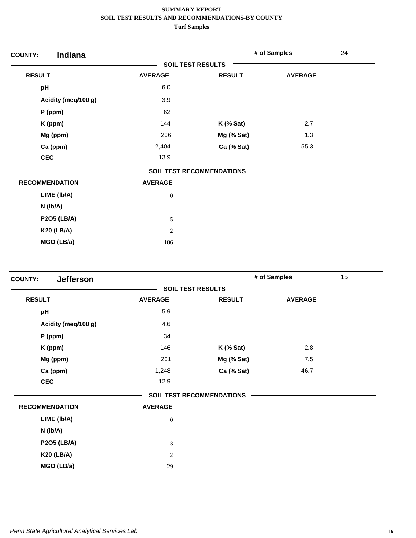| Indiana<br><b>COUNTY:</b> |                          |                           | # of Samples   | 24 |
|---------------------------|--------------------------|---------------------------|----------------|----|
|                           | <b>SOIL TEST RESULTS</b> |                           |                |    |
| <b>RESULT</b>             | <b>AVERAGE</b>           | <b>RESULT</b>             | <b>AVERAGE</b> |    |
| pH                        | 6.0                      |                           |                |    |
| Acidity (meq/100 g)       | 3.9                      |                           |                |    |
| $P$ (ppm)                 | 62                       |                           |                |    |
| K (ppm)                   | 144                      | $K$ (% Sat)               | 2.7            |    |
| Mg (ppm)                  | 206                      | Mg (% Sat)                | 1.3            |    |
| Ca (ppm)                  | 2,404                    | Ca (% Sat)                | 55.3           |    |
| <b>CEC</b>                | 13.9                     |                           |                |    |
|                           |                          | SOIL TEST RECOMMENDATIONS |                |    |
| <b>RECOMMENDATION</b>     | <b>AVERAGE</b>           |                           |                |    |
| LIME (Ib/A)               | $\boldsymbol{0}$         |                           |                |    |
| $N$ (lb/A)                |                          |                           |                |    |
| <b>P2O5 (LB/A)</b>        | 5                        |                           |                |    |
| <b>K20 (LB/A)</b>         | $\sqrt{2}$               |                           |                |    |
| MGO (LB/a)                | 106                      |                           |                |    |

| <b>Jefferson</b><br><b>COUNTY:</b> |                          |                                  | # of Samples   | 15 |
|------------------------------------|--------------------------|----------------------------------|----------------|----|
|                                    | <b>SOIL TEST RESULTS</b> |                                  |                |    |
| <b>RESULT</b>                      | <b>AVERAGE</b>           | <b>RESULT</b>                    | <b>AVERAGE</b> |    |
| pH                                 | 5.9                      |                                  |                |    |
| Acidity (meq/100 g)                | 4.6                      |                                  |                |    |
| $P$ (ppm)                          | 34                       |                                  |                |    |
| K (ppm)                            | 146                      | $K$ (% Sat)                      | 2.8            |    |
| Mg (ppm)                           | 201                      | Mg (% Sat)                       | 7.5            |    |
| Ca (ppm)                           | 1,248                    | Ca (% Sat)                       | 46.7           |    |
| <b>CEC</b>                         | 12.9                     |                                  |                |    |
|                                    |                          | <b>SOIL TEST RECOMMENDATIONS</b> |                |    |
| <b>RECOMMENDATION</b>              | <b>AVERAGE</b>           |                                  |                |    |
| LIME (Ib/A)                        | $\boldsymbol{0}$         |                                  |                |    |
| $N$ ( $lb/A$ )                     |                          |                                  |                |    |
| <b>P2O5 (LB/A)</b>                 | $\mathfrak{Z}$           |                                  |                |    |
| <b>K20 (LB/A)</b>                  | $\sqrt{2}$               |                                  |                |    |
| MGO (LB/a)                         | 29                       |                                  |                |    |
|                                    |                          |                                  |                |    |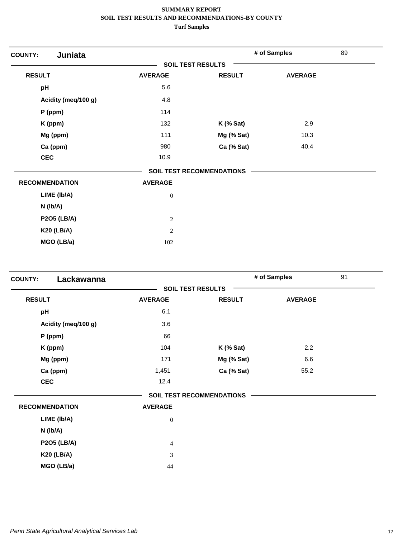| Juniata<br><b>COUNTY:</b> |                          |                                  | # of Samples   | 89 |
|---------------------------|--------------------------|----------------------------------|----------------|----|
|                           | <b>SOIL TEST RESULTS</b> |                                  |                |    |
| <b>RESULT</b>             | <b>AVERAGE</b>           | <b>RESULT</b>                    | <b>AVERAGE</b> |    |
| pH                        | 5.6                      |                                  |                |    |
| Acidity (meq/100 g)       | 4.8                      |                                  |                |    |
| $P$ (ppm)                 | 114                      |                                  |                |    |
| K (ppm)                   | 132                      | $K$ (% Sat)                      | 2.9            |    |
| Mg (ppm)                  | 111                      | Mg (% Sat)                       | 10.3           |    |
| Ca (ppm)                  | 980                      | Ca (% Sat)                       | 40.4           |    |
| <b>CEC</b>                | 10.9                     |                                  |                |    |
|                           |                          | <b>SOIL TEST RECOMMENDATIONS</b> |                |    |
| <b>RECOMMENDATION</b>     | <b>AVERAGE</b>           |                                  |                |    |
| LIME (Ib/A)               | $\boldsymbol{0}$         |                                  |                |    |
| $N$ ( $lb/A$ )            |                          |                                  |                |    |
| <b>P2O5 (LB/A)</b>        | $\sqrt{2}$               |                                  |                |    |
| <b>K20 (LB/A)</b>         | $\sqrt{2}$               |                                  |                |    |
| MGO (LB/a)                | 102                      |                                  |                |    |

| Lackawanna<br><b>COUNTY:</b> |                  |                                  | # of Samples   | 91 |
|------------------------------|------------------|----------------------------------|----------------|----|
|                              |                  | <b>SOIL TEST RESULTS</b>         |                |    |
| <b>RESULT</b>                | <b>AVERAGE</b>   | <b>RESULT</b>                    | <b>AVERAGE</b> |    |
| pH                           | 6.1              |                                  |                |    |
| Acidity (meq/100 g)          | 3.6              |                                  |                |    |
| $P$ (ppm)                    | 66               |                                  |                |    |
| K (ppm)                      | 104              | $K$ (% Sat)                      | 2.2            |    |
| Mg (ppm)                     | 171              | Mg (% Sat)                       | 6.6            |    |
| Ca (ppm)                     | 1,451            | Ca (% Sat)                       | 55.2           |    |
| <b>CEC</b>                   | 12.4             |                                  |                |    |
|                              |                  | <b>SOIL TEST RECOMMENDATIONS</b> |                |    |
| <b>RECOMMENDATION</b>        | <b>AVERAGE</b>   |                                  |                |    |
| LIME (Ib/A)                  | $\boldsymbol{0}$ |                                  |                |    |
| N (Ib/A)                     |                  |                                  |                |    |
| <b>P2O5 (LB/A)</b>           | $\overline{4}$   |                                  |                |    |
| <b>K20 (LB/A)</b>            | 3                |                                  |                |    |
| MGO (LB/a)                   | 44               |                                  |                |    |
|                              |                  |                                  |                |    |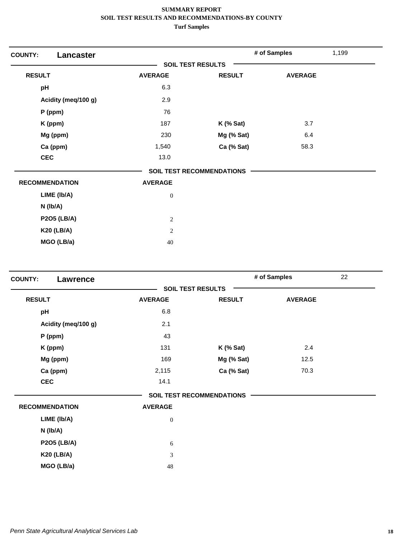| <b>COUNTY:</b><br>Lancaster |                          |                           | # of Samples   | 1,199 |
|-----------------------------|--------------------------|---------------------------|----------------|-------|
|                             | <b>SOIL TEST RESULTS</b> |                           |                |       |
| <b>RESULT</b>               | <b>AVERAGE</b>           | <b>RESULT</b>             | <b>AVERAGE</b> |       |
| pH                          | 6.3                      |                           |                |       |
| Acidity (meq/100 g)         | 2.9                      |                           |                |       |
| $P$ (ppm)                   | 76                       |                           |                |       |
| K (ppm)                     | 187                      | $K$ (% Sat)               | 3.7            |       |
| Mg (ppm)                    | 230                      | Mg (% Sat)                | 6.4            |       |
| Ca (ppm)                    | 1,540                    | Ca (% Sat)                | 58.3           |       |
| <b>CEC</b>                  | 13.0                     |                           |                |       |
|                             |                          | SOIL TEST RECOMMENDATIONS |                |       |
| <b>RECOMMENDATION</b>       | <b>AVERAGE</b>           |                           |                |       |
| LIME (Ib/A)                 | $\boldsymbol{0}$         |                           |                |       |
| $N$ (lb/A)                  |                          |                           |                |       |
| <b>P2O5 (LB/A)</b>          | $\overline{2}$           |                           |                |       |
| <b>K20 (LB/A)</b>           | $\overline{2}$           |                           |                |       |
| MGO (LB/a)                  | 40                       |                           |                |       |

| <b>COUNTY:</b><br>Lawrence |                          |                                  | # of Samples   | 22 |
|----------------------------|--------------------------|----------------------------------|----------------|----|
|                            | <b>SOIL TEST RESULTS</b> |                                  |                |    |
| <b>RESULT</b>              | <b>AVERAGE</b>           | <b>RESULT</b>                    | <b>AVERAGE</b> |    |
| pH                         | 6.8                      |                                  |                |    |
| Acidity (meq/100 g)        | 2.1                      |                                  |                |    |
| $P$ (ppm)                  | 43                       |                                  |                |    |
| K (ppm)                    | 131                      | $K$ (% Sat)                      | 2.4            |    |
| Mg (ppm)                   | 169                      | Mg (% Sat)                       | 12.5           |    |
| Ca (ppm)                   | 2,115                    | Ca (% Sat)                       | 70.3           |    |
| <b>CEC</b>                 | 14.1                     |                                  |                |    |
|                            |                          | <b>SOIL TEST RECOMMENDATIONS</b> |                |    |
| <b>RECOMMENDATION</b>      | <b>AVERAGE</b>           |                                  |                |    |
| LIME (Ib/A)                | $\boldsymbol{0}$         |                                  |                |    |
| N (lb/A)                   |                          |                                  |                |    |
| <b>P2O5 (LB/A)</b>         | 6                        |                                  |                |    |
| <b>K20 (LB/A)</b>          | $\mathfrak{Z}$           |                                  |                |    |
| MGO (LB/a)                 | 48                       |                                  |                |    |
|                            |                          |                                  |                |    |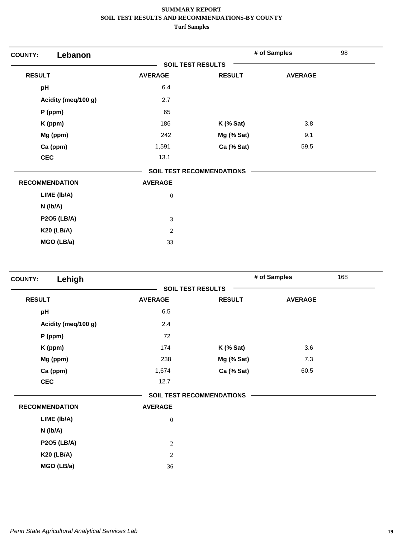| Lebanon<br><b>COUNTY:</b> |                          |                                  | # of Samples   | 98 |
|---------------------------|--------------------------|----------------------------------|----------------|----|
|                           | <b>SOIL TEST RESULTS</b> |                                  |                |    |
| <b>RESULT</b>             | <b>AVERAGE</b>           | <b>RESULT</b>                    | <b>AVERAGE</b> |    |
| pH                        | 6.4                      |                                  |                |    |
| Acidity (meq/100 g)       | 2.7                      |                                  |                |    |
| P (ppm)                   | 65                       |                                  |                |    |
| K (ppm)                   | 186                      | $K$ (% Sat)                      | 3.8            |    |
| Mg (ppm)                  | 242                      | Mg (% Sat)                       | 9.1            |    |
| Ca (ppm)                  | 1,591                    | Ca (% Sat)                       | 59.5           |    |
| <b>CEC</b>                | 13.1                     |                                  |                |    |
|                           |                          | <b>SOIL TEST RECOMMENDATIONS</b> |                |    |
| <b>RECOMMENDATION</b>     | <b>AVERAGE</b>           |                                  |                |    |
| LIME (Ib/A)               | $\boldsymbol{0}$         |                                  |                |    |
| N (lb/A)                  |                          |                                  |                |    |
| <b>P2O5 (LB/A)</b>        | 3                        |                                  |                |    |
| <b>K20 (LB/A)</b>         | $\overline{2}$           |                                  |                |    |
| MGO (LB/a)                | 33                       |                                  |                |    |

| Lehigh<br><b>COUNTY:</b> |                          |                                  | 168<br># of Samples |  |
|--------------------------|--------------------------|----------------------------------|---------------------|--|
|                          | <b>SOIL TEST RESULTS</b> |                                  |                     |  |
| <b>RESULT</b>            | <b>AVERAGE</b>           | <b>RESULT</b>                    | <b>AVERAGE</b>      |  |
| pH                       | 6.5                      |                                  |                     |  |
| Acidity (meq/100 g)      | 2.4                      |                                  |                     |  |
| $P$ (ppm)                | 72                       |                                  |                     |  |
| K (ppm)                  | 174                      | $K$ (% Sat)                      | 3.6                 |  |
| Mg (ppm)                 | 238                      | Mg (% Sat)                       | 7.3                 |  |
| Ca (ppm)                 | 1,674                    | Ca (% Sat)                       | 60.5                |  |
| <b>CEC</b>               | 12.7                     |                                  |                     |  |
|                          |                          | <b>SOIL TEST RECOMMENDATIONS</b> |                     |  |
| <b>RECOMMENDATION</b>    | <b>AVERAGE</b>           |                                  |                     |  |
| LIME (Ib/A)              | $\boldsymbol{0}$         |                                  |                     |  |
| N (lb/A)                 |                          |                                  |                     |  |
| <b>P2O5 (LB/A)</b>       | $\overline{c}$           |                                  |                     |  |
| <b>K20 (LB/A)</b>        | $\sqrt{2}$               |                                  |                     |  |
| MGO (LB/a)               | 36                       |                                  |                     |  |
|                          |                          |                                  |                     |  |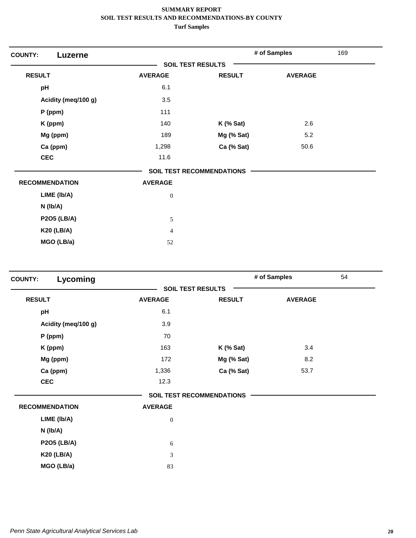| <b>COUNTY:</b><br>Luzerne |                          |                                  | # of Samples   | 169 |
|---------------------------|--------------------------|----------------------------------|----------------|-----|
|                           | <b>SOIL TEST RESULTS</b> |                                  |                |     |
| <b>RESULT</b>             | <b>AVERAGE</b>           | <b>RESULT</b>                    | <b>AVERAGE</b> |     |
| pH                        | 6.1                      |                                  |                |     |
| Acidity (meq/100 g)       | 3.5                      |                                  |                |     |
| P (ppm)                   | 111                      |                                  |                |     |
| K (ppm)                   | 140                      | $K$ (% Sat)                      | 2.6            |     |
| Mg (ppm)                  | 189                      | Mg (% Sat)                       | 5.2            |     |
| Ca (ppm)                  | 1,298                    | Ca (% Sat)                       | 50.6           |     |
| <b>CEC</b>                | 11.6                     |                                  |                |     |
|                           |                          | <b>SOIL TEST RECOMMENDATIONS</b> |                |     |
| <b>RECOMMENDATION</b>     | <b>AVERAGE</b>           |                                  |                |     |
| LIME (Ib/A)               | $\boldsymbol{0}$         |                                  |                |     |
| $N$ (lb/A)                |                          |                                  |                |     |
| <b>P2O5 (LB/A)</b>        | $\sqrt{5}$               |                                  |                |     |
| <b>K20 (LB/A)</b>         | $\overline{4}$           |                                  |                |     |
| MGO (LB/a)                | 52                       |                                  |                |     |

| Lycoming<br><b>COUNTY:</b> |                |                                  | # of Samples   | 54 |
|----------------------------|----------------|----------------------------------|----------------|----|
|                            |                | <b>SOIL TEST RESULTS</b>         |                |    |
| <b>RESULT</b>              | <b>AVERAGE</b> | <b>RESULT</b>                    | <b>AVERAGE</b> |    |
| pH                         | 6.1            |                                  |                |    |
| Acidity (meg/100 g)        | 3.9            |                                  |                |    |
| P (ppm)                    | 70             |                                  |                |    |
| K (ppm)                    | 163            | $K$ (% Sat)                      | 3.4            |    |
| Mg (ppm)                   | 172            | Mg (% Sat)                       | 8.2            |    |
| Ca (ppm)                   | 1,336          | Ca (% Sat)                       | 53.7           |    |
| <b>CEC</b>                 | 12.3           |                                  |                |    |
|                            |                | <b>SOIL TEST RECOMMENDATIONS</b> |                |    |
| <b>RECOMMENDATION</b>      | <b>AVERAGE</b> |                                  |                |    |
| LIME (Ib/A)                | $\mathbf{0}$   |                                  |                |    |
| N (Ib/A)                   |                |                                  |                |    |
| <b>P2O5 (LB/A)</b>         | 6              |                                  |                |    |
| <b>K20 (LB/A)</b>          | 3              |                                  |                |    |
| MGO (LB/a)                 | 83             |                                  |                |    |
|                            |                |                                  |                |    |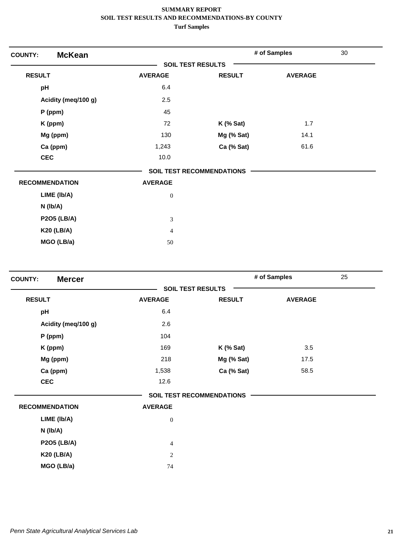| <b>McKean</b><br><b>COUNTY:</b> |                             |                                  | # of Samples   | 30 |
|---------------------------------|-----------------------------|----------------------------------|----------------|----|
|                                 | <b>SOIL TEST RESULTS</b>    |                                  |                |    |
| <b>RESULT</b>                   | <b>AVERAGE</b>              | <b>RESULT</b>                    | <b>AVERAGE</b> |    |
| pH                              | 6.4                         |                                  |                |    |
| Acidity (meq/100 g)             | 2.5                         |                                  |                |    |
| $P$ (ppm)                       | 45                          |                                  |                |    |
| K (ppm)                         | 72                          | $K$ (% Sat)                      | 1.7            |    |
| Mg (ppm)                        | 130                         | Mg (% Sat)                       | 14.1           |    |
| Ca (ppm)                        | 1,243                       | Ca (% Sat)                       | 61.6           |    |
| <b>CEC</b>                      | 10.0                        |                                  |                |    |
|                                 |                             | <b>SOIL TEST RECOMMENDATIONS</b> |                |    |
| <b>RECOMMENDATION</b>           | <b>AVERAGE</b>              |                                  |                |    |
| LIME (Ib/A)                     | $\boldsymbol{0}$            |                                  |                |    |
| $N$ (lb/A)                      |                             |                                  |                |    |
| <b>P2O5 (LB/A)</b>              | $\ensuremath{\mathfrak{Z}}$ |                                  |                |    |
| <b>K20 (LB/A)</b>               | $\overline{4}$              |                                  |                |    |
| MGO (LB/a)                      | 50                          |                                  |                |    |

| 25 | # of Samples   |                                  |                  | <b>Mercer</b><br><b>COUNTY:</b> |
|----|----------------|----------------------------------|------------------|---------------------------------|
|    |                | <b>SOIL TEST RESULTS</b>         |                  |                                 |
|    | <b>AVERAGE</b> | <b>RESULT</b>                    | <b>AVERAGE</b>   | <b>RESULT</b>                   |
|    |                |                                  | 6.4              | pH                              |
|    |                |                                  | 2.6              | Acidity (meq/100 g)             |
|    |                |                                  | 104              | P (ppm)                         |
|    | 3.5            | $K$ (% Sat)                      | 169              | K (ppm)                         |
|    | 17.5           | Mg (% Sat)                       | 218              | Mg (ppm)                        |
|    | 58.5           | Ca (% Sat)                       | 1,538            | Ca (ppm)                        |
|    |                |                                  | 12.6             | <b>CEC</b>                      |
|    |                | <b>SOIL TEST RECOMMENDATIONS</b> |                  |                                 |
|    |                |                                  | <b>AVERAGE</b>   | <b>RECOMMENDATION</b>           |
|    |                |                                  | $\boldsymbol{0}$ | LIME (Ib/A)                     |
|    |                |                                  |                  | $N$ ( $lb/A$ )                  |
|    |                |                                  | $\overline{4}$   | <b>P2O5 (LB/A)</b>              |
|    |                |                                  | $\mathbf{2}$     | <b>K20 (LB/A)</b>               |
|    |                |                                  | 74               | MGO (LB/a)                      |
|    |                |                                  |                  |                                 |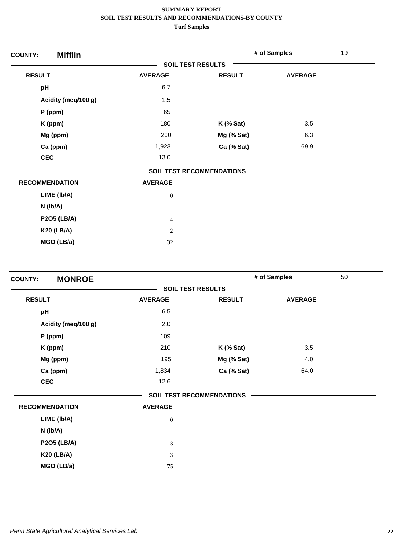| <b>Mifflin</b><br><b>COUNTY:</b> |                          |                                  | # of Samples   | 19 |
|----------------------------------|--------------------------|----------------------------------|----------------|----|
|                                  | <b>SOIL TEST RESULTS</b> |                                  |                |    |
| <b>RESULT</b>                    | <b>AVERAGE</b>           | <b>RESULT</b>                    | <b>AVERAGE</b> |    |
| pH                               | 6.7                      |                                  |                |    |
| Acidity (meq/100 g)              | 1.5                      |                                  |                |    |
| $P$ (ppm)                        | 65                       |                                  |                |    |
| K (ppm)                          | 180                      | $K$ (% Sat)                      | 3.5            |    |
| Mg (ppm)                         | 200                      | Mg (% Sat)                       | 6.3            |    |
| Ca (ppm)                         | 1,923                    | Ca (% Sat)                       | 69.9           |    |
| <b>CEC</b>                       | 13.0                     |                                  |                |    |
|                                  |                          | <b>SOIL TEST RECOMMENDATIONS</b> |                |    |
| <b>RECOMMENDATION</b>            | <b>AVERAGE</b>           |                                  |                |    |
| LIME (Ib/A)                      | $\boldsymbol{0}$         |                                  |                |    |
| $N$ ( $lb/A$ )                   |                          |                                  |                |    |
| <b>P2O5 (LB/A)</b>               | $\overline{4}$           |                                  |                |    |
| <b>K20 (LB/A)</b>                | $\mathbf{2}$             |                                  |                |    |
| MGO (LB/a)                       | 32                       |                                  |                |    |

| <b>MONROE</b><br><b>COUNTY:</b> |                  |                                  | # of Samples   | 50 |
|---------------------------------|------------------|----------------------------------|----------------|----|
|                                 |                  | <b>SOIL TEST RESULTS</b>         |                |    |
| <b>RESULT</b>                   | <b>AVERAGE</b>   | <b>RESULT</b>                    | <b>AVERAGE</b> |    |
| pH                              | 6.5              |                                  |                |    |
| Acidity (meq/100 g)             | 2.0              |                                  |                |    |
| $P$ (ppm)                       | 109              |                                  |                |    |
| K (ppm)                         | 210              | $K$ (% Sat)                      | 3.5            |    |
| Mg (ppm)                        | 195              | Mg (% Sat)                       | 4.0            |    |
| Ca (ppm)                        | 1,834            | Ca (% Sat)                       | 64.0           |    |
| <b>CEC</b>                      | 12.6             |                                  |                |    |
|                                 |                  | <b>SOIL TEST RECOMMENDATIONS</b> |                |    |
| <b>RECOMMENDATION</b>           | <b>AVERAGE</b>   |                                  |                |    |
| LIME (Ib/A)                     | $\boldsymbol{0}$ |                                  |                |    |
| N (lb/A)                        |                  |                                  |                |    |
| <b>P2O5 (LB/A)</b>              | $\mathfrak{Z}$   |                                  |                |    |
| <b>K20 (LB/A)</b>               | 3                |                                  |                |    |
| MGO (LB/a)                      | 75               |                                  |                |    |
|                                 |                  |                                  |                |    |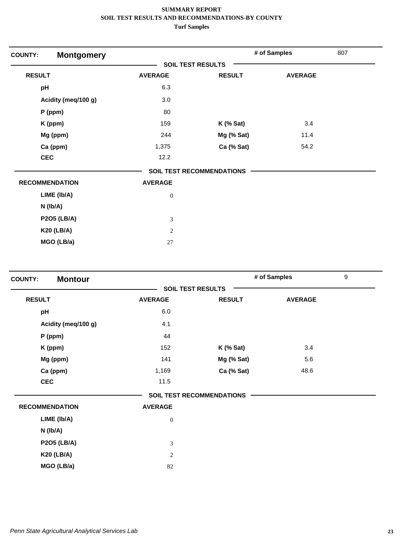| <b>COUNTY:</b><br><b>Montgomery</b> |                          |                                  | # of Samples   | 807 |
|-------------------------------------|--------------------------|----------------------------------|----------------|-----|
|                                     | <b>SOIL TEST RESULTS</b> |                                  |                |     |
| <b>RESULT</b>                       | <b>AVERAGE</b>           | <b>RESULT</b>                    | <b>AVERAGE</b> |     |
| pH                                  | 6.3                      |                                  |                |     |
| Acidity (meq/100 g)                 | 3.0                      |                                  |                |     |
| P (ppm)                             | 80                       |                                  |                |     |
| K (ppm)                             | 159                      | $K$ (% Sat)                      | 3.4            |     |
| Mg (ppm)                            | 244                      | Mg (% Sat)                       | 11.4           |     |
| Ca (ppm)                            | 1,375                    | Ca (% Sat)                       | 54.2           |     |
| <b>CEC</b>                          | 12.2                     |                                  |                |     |
|                                     |                          | <b>SOIL TEST RECOMMENDATIONS</b> |                |     |
| <b>RECOMMENDATION</b>               | <b>AVERAGE</b>           |                                  |                |     |
| LIME (Ib/A)                         | $\boldsymbol{0}$         |                                  |                |     |
| $N$ (lb/A)                          |                          |                                  |                |     |
| <b>P2O5 (LB/A)</b>                  | 3                        |                                  |                |     |
| <b>K20 (LB/A)</b>                   | $\overline{2}$           |                                  |                |     |
| MGO (LB/a)                          | 27                       |                                  |                |     |

| <b>Montour</b><br><b>COUNTY:</b> |                |                                  | # of Samples   | $\boldsymbol{9}$ |
|----------------------------------|----------------|----------------------------------|----------------|------------------|
|                                  |                | <b>SOIL TEST RESULTS</b>         |                |                  |
| <b>RESULT</b>                    | <b>AVERAGE</b> | <b>RESULT</b>                    | <b>AVERAGE</b> |                  |
| pH                               | 6.0            |                                  |                |                  |
| Acidity (meg/100 g)              | 4.1            |                                  |                |                  |
| P (ppm)                          | 44             |                                  |                |                  |
| K (ppm)                          | 152            | $K$ (% Sat)                      | 3.4            |                  |
| Mg (ppm)                         | 141            | Mg (% Sat)                       | 5.6            |                  |
| Ca (ppm)                         | 1,169          | Ca (% Sat)                       | 48.6           |                  |
| <b>CEC</b>                       | 11.5           |                                  |                |                  |
|                                  |                | <b>SOIL TEST RECOMMENDATIONS</b> |                |                  |
| <b>RECOMMENDATION</b>            | <b>AVERAGE</b> |                                  |                |                  |
| LIME (Ib/A)                      | $\mathbf{0}$   |                                  |                |                  |
| $N$ ( $lb/A$ )                   |                |                                  |                |                  |
| <b>P2O5 (LB/A)</b>               | 3              |                                  |                |                  |
| <b>K20 (LB/A)</b>                | 2              |                                  |                |                  |
| MGO (LB/a)                       | 82             |                                  |                |                  |
|                                  |                |                                  |                |                  |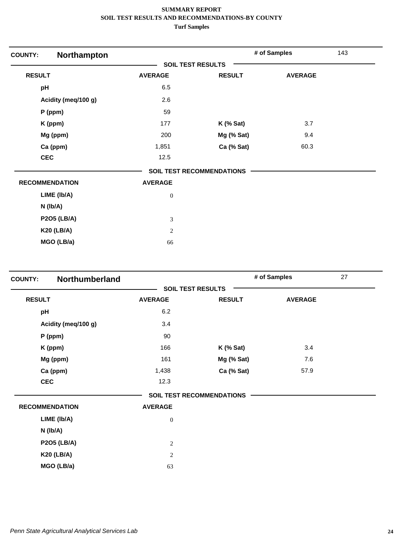| Northampton<br><b>COUNTY:</b> |                             |                                  | # of Samples   | 143 |
|-------------------------------|-----------------------------|----------------------------------|----------------|-----|
|                               |                             | <b>SOIL TEST RESULTS</b>         |                |     |
| <b>RESULT</b>                 | <b>AVERAGE</b>              | <b>RESULT</b>                    | <b>AVERAGE</b> |     |
| pH                            | 6.5                         |                                  |                |     |
| Acidity (meq/100 g)           | 2.6                         |                                  |                |     |
| $P$ (ppm)                     | 59                          |                                  |                |     |
| K (ppm)                       | 177                         | K (% Sat)                        | 3.7            |     |
| Mg (ppm)                      | 200                         | Mg (% Sat)                       | 9.4            |     |
| Ca (ppm)                      | 1,851                       | Ca (% Sat)                       | 60.3           |     |
| <b>CEC</b>                    | 12.5                        |                                  |                |     |
|                               |                             | <b>SOIL TEST RECOMMENDATIONS</b> |                |     |
| <b>RECOMMENDATION</b>         | <b>AVERAGE</b>              |                                  |                |     |
| LIME (Ib/A)                   | $\boldsymbol{0}$            |                                  |                |     |
| $N$ (lb/A)                    |                             |                                  |                |     |
| <b>P2O5 (LB/A)</b>            | $\ensuremath{\mathfrak{Z}}$ |                                  |                |     |
| <b>K20 (LB/A)</b>             | $\sqrt{2}$                  |                                  |                |     |
| MGO (LB/a)                    | 66                          |                                  |                |     |

| Northumberland<br><b>COUNTY:</b> |                |                                  | # of Samples   | 27 |
|----------------------------------|----------------|----------------------------------|----------------|----|
|                                  |                | <b>SOIL TEST RESULTS</b>         |                |    |
| <b>RESULT</b>                    | <b>AVERAGE</b> | <b>RESULT</b>                    | <b>AVERAGE</b> |    |
| pH                               | 6.2            |                                  |                |    |
| Acidity (meq/100 g)              | 3.4            |                                  |                |    |
| $P$ (ppm)                        | 90             |                                  |                |    |
| K (ppm)                          | 166            | $K$ (% Sat)                      | 3.4            |    |
| Mg (ppm)                         | 161            | Mg (% Sat)                       | 7.6            |    |
| Ca (ppm)                         | 1,438          | Ca (% Sat)                       | 57.9           |    |
| <b>CEC</b>                       | 12.3           |                                  |                |    |
|                                  |                | <b>SOIL TEST RECOMMENDATIONS</b> |                |    |
| <b>RECOMMENDATION</b>            | <b>AVERAGE</b> |                                  |                |    |
| LIME (Ib/A)                      | $\mathbf{0}$   |                                  |                |    |
| $N$ ( $lb/A$ )                   |                |                                  |                |    |
| <b>P2O5 (LB/A)</b>               | $\overline{2}$ |                                  |                |    |
| <b>K20 (LB/A)</b>                | 2              |                                  |                |    |
| MGO (LB/a)                       | 63             |                                  |                |    |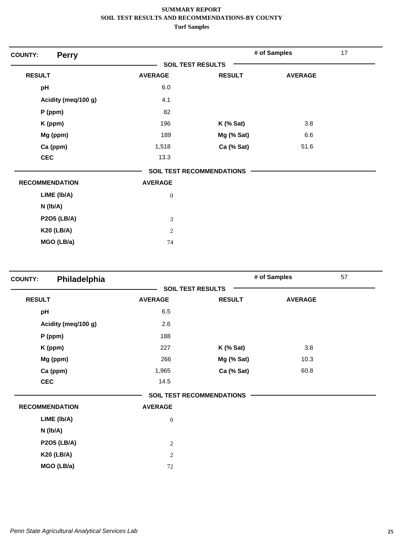| <b>Perry</b><br><b>COUNTY:</b> |                          |                                  | # of Samples   | 17 |
|--------------------------------|--------------------------|----------------------------------|----------------|----|
|                                | <b>SOIL TEST RESULTS</b> |                                  |                |    |
| <b>RESULT</b>                  | <b>AVERAGE</b>           | <b>RESULT</b>                    | <b>AVERAGE</b> |    |
| pH                             | 6.0                      |                                  |                |    |
| Acidity (meq/100 g)            | 4.1                      |                                  |                |    |
| P (ppm)                        | 82                       |                                  |                |    |
| K (ppm)                        | 196                      | $K$ (% Sat)                      | 3.8            |    |
| Mg (ppm)                       | 189                      | Mg (% Sat)                       | 6.6            |    |
| Ca (ppm)                       | 1,518                    | Ca (% Sat)                       | 51.6           |    |
| <b>CEC</b>                     | 13.3                     |                                  |                |    |
|                                |                          | <b>SOIL TEST RECOMMENDATIONS</b> |                |    |
| <b>RECOMMENDATION</b>          | <b>AVERAGE</b>           |                                  |                |    |
| LIME (Ib/A)                    | $\boldsymbol{0}$         |                                  |                |    |
| $N$ ( $lb/A$ )                 |                          |                                  |                |    |
| <b>P2O5 (LB/A)</b>             | 3                        |                                  |                |    |
| <b>K20 (LB/A)</b>              | $\overline{2}$           |                                  |                |    |
| MGO (LB/a)                     | 74                       |                                  |                |    |

| <b>COUNTY:</b> | Philadelphia          |                  |                                  | # of Samples   | 57 |
|----------------|-----------------------|------------------|----------------------------------|----------------|----|
|                |                       |                  | <b>SOIL TEST RESULTS</b>         |                |    |
| <b>RESULT</b>  |                       | <b>AVERAGE</b>   | <b>RESULT</b>                    | <b>AVERAGE</b> |    |
| pH             |                       | 6.5              |                                  |                |    |
|                | Acidity (meq/100 g)   | 2.6              |                                  |                |    |
|                | $P$ (ppm)             | 188              |                                  |                |    |
|                | K (ppm)               | 227              | $K$ (% Sat)                      | 3.8            |    |
|                | Mg (ppm)              | 266              | Mg (% Sat)                       | 10.3           |    |
|                | Ca (ppm)              | 1,965            | Ca (% Sat)                       | 60.8           |    |
|                | <b>CEC</b>            | 14.5             |                                  |                |    |
|                |                       |                  | <b>SOIL TEST RECOMMENDATIONS</b> |                |    |
|                | <b>RECOMMENDATION</b> | <b>AVERAGE</b>   |                                  |                |    |
|                | LIME (Ib/A)           | $\boldsymbol{0}$ |                                  |                |    |
|                | N (lb/A)              |                  |                                  |                |    |
|                | <b>P2O5 (LB/A)</b>    | $\overline{c}$   |                                  |                |    |
|                | <b>K20 (LB/A)</b>     | $\overline{c}$   |                                  |                |    |
|                | MGO (LB/a)            | 72               |                                  |                |    |
|                |                       |                  |                                  |                |    |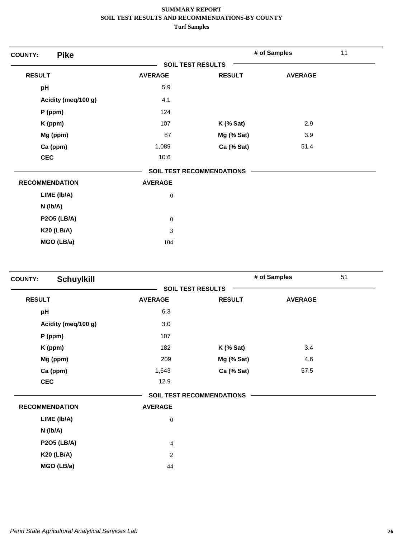| <b>Pike</b><br><b>COUNTY:</b> |                             |                           | # of Samples   | 11 |
|-------------------------------|-----------------------------|---------------------------|----------------|----|
|                               | <b>SOIL TEST RESULTS</b>    |                           |                |    |
| <b>RESULT</b>                 | <b>AVERAGE</b>              | <b>RESULT</b>             | <b>AVERAGE</b> |    |
| pH                            | 5.9                         |                           |                |    |
| Acidity (meq/100 g)           | 4.1                         |                           |                |    |
| $P$ (ppm)                     | 124                         |                           |                |    |
| K (ppm)                       | 107                         | <b>K</b> (% Sat)          | 2.9            |    |
| Mg (ppm)                      | 87                          | Mg (% Sat)                | 3.9            |    |
| Ca (ppm)                      | 1,089                       | Ca (% Sat)                | 51.4           |    |
| <b>CEC</b>                    | 10.6                        |                           |                |    |
|                               |                             | SOIL TEST RECOMMENDATIONS |                |    |
| <b>RECOMMENDATION</b>         | <b>AVERAGE</b>              |                           |                |    |
| LIME (Ib/A)                   | $\boldsymbol{0}$            |                           |                |    |
| $N$ (lb/A)                    |                             |                           |                |    |
| <b>P2O5 (LB/A)</b>            | $\boldsymbol{0}$            |                           |                |    |
| <b>K20 (LB/A)</b>             | $\ensuremath{\mathfrak{Z}}$ |                           |                |    |
| MGO (LB/a)                    | 104                         |                           |                |    |

| <b>Schuylkill</b><br><b>COUNTY:</b> |                  |                                  | # of Samples   | 51 |
|-------------------------------------|------------------|----------------------------------|----------------|----|
|                                     |                  | <b>SOIL TEST RESULTS</b>         |                |    |
| <b>RESULT</b>                       | <b>AVERAGE</b>   | <b>RESULT</b>                    | <b>AVERAGE</b> |    |
| pH                                  | 6.3              |                                  |                |    |
| Acidity (meq/100 g)                 | 3.0              |                                  |                |    |
| $P$ (ppm)                           | 107              |                                  |                |    |
| K (ppm)                             | 182              | $K$ (% Sat)                      | 3.4            |    |
| Mg (ppm)                            | 209              | Mg (% Sat)                       | 4.6            |    |
| Ca (ppm)                            | 1,643            | Ca (% Sat)                       | 57.5           |    |
| <b>CEC</b>                          | 12.9             |                                  |                |    |
|                                     |                  | <b>SOIL TEST RECOMMENDATIONS</b> |                |    |
| <b>RECOMMENDATION</b>               | <b>AVERAGE</b>   |                                  |                |    |
| LIME (Ib/A)                         | $\boldsymbol{0}$ |                                  |                |    |
| $N$ ( $lb/A$ )                      |                  |                                  |                |    |
| <b>P2O5 (LB/A)</b>                  | $\overline{4}$   |                                  |                |    |
| <b>K20 (LB/A)</b>                   | 2                |                                  |                |    |
| MGO (LB/a)                          | 44               |                                  |                |    |
|                                     |                  |                                  |                |    |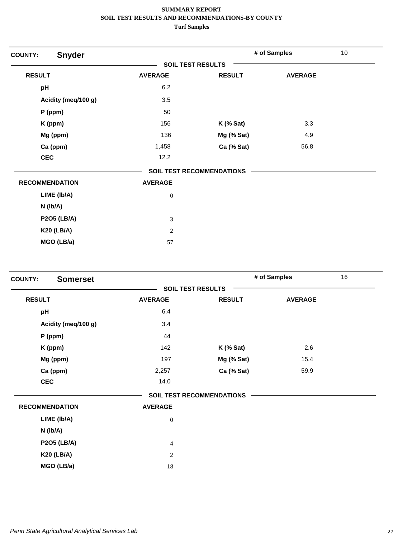| <b>COUNTY:</b>        | <b>Snyder</b>       |                             |                                  | # of Samples   | 10 |
|-----------------------|---------------------|-----------------------------|----------------------------------|----------------|----|
|                       |                     | <b>SOIL TEST RESULTS</b>    |                                  |                |    |
| <b>RESULT</b>         |                     | <b>AVERAGE</b>              | <b>RESULT</b>                    | <b>AVERAGE</b> |    |
| pH                    |                     | 6.2                         |                                  |                |    |
|                       | Acidity (meq/100 g) | 3.5                         |                                  |                |    |
|                       | $P$ (ppm)           | 50                          |                                  |                |    |
|                       | K (ppm)             | 156                         | $K$ (% Sat)                      | 3.3            |    |
|                       | Mg (ppm)            | 136                         | Mg (% Sat)                       | 4.9            |    |
|                       | Ca (ppm)            | 1,458                       | Ca (% Sat)                       | 56.8           |    |
| <b>CEC</b>            |                     | 12.2                        |                                  |                |    |
|                       |                     |                             | <b>SOIL TEST RECOMMENDATIONS</b> |                |    |
| <b>RECOMMENDATION</b> |                     | <b>AVERAGE</b>              |                                  |                |    |
|                       | LIME (Ib/A)         | $\boldsymbol{0}$            |                                  |                |    |
| $N$ ( $lb/A$ )        |                     |                             |                                  |                |    |
|                       | <b>P2O5 (LB/A)</b>  | $\ensuremath{\mathfrak{Z}}$ |                                  |                |    |
|                       | <b>K20 (LB/A)</b>   | $\sqrt{2}$                  |                                  |                |    |
|                       | MGO (LB/a)          | 57                          |                                  |                |    |

| <b>Somerset</b><br><b>COUNTY:</b> |                |                                  | # of Samples   | 16 |
|-----------------------------------|----------------|----------------------------------|----------------|----|
|                                   |                | <b>SOIL TEST RESULTS</b>         |                |    |
| <b>RESULT</b>                     | <b>AVERAGE</b> | <b>RESULT</b>                    | <b>AVERAGE</b> |    |
| pH                                | 6.4            |                                  |                |    |
| Acidity (meg/100 g)               | 3.4            |                                  |                |    |
| P (ppm)                           | 44             |                                  |                |    |
| K (ppm)                           | 142            | $K$ (% Sat)                      | 2.6            |    |
| Mg (ppm)                          | 197            | Mg (% Sat)                       | 15.4           |    |
| Ca (ppm)                          | 2,257          | Ca (% Sat)                       | 59.9           |    |
| <b>CEC</b>                        | 14.0           |                                  |                |    |
|                                   |                | <b>SOIL TEST RECOMMENDATIONS</b> |                |    |
| <b>RECOMMENDATION</b>             | <b>AVERAGE</b> |                                  |                |    |
| LIME (Ib/A)                       | $\mathbf{0}$   |                                  |                |    |
| $N$ ( $lb/A$ )                    |                |                                  |                |    |
| <b>P2O5 (LB/A)</b>                | $\overline{4}$ |                                  |                |    |
| <b>K20 (LB/A)</b>                 | 2              |                                  |                |    |
| MGO (LB/a)                        | 18             |                                  |                |    |
|                                   |                |                                  |                |    |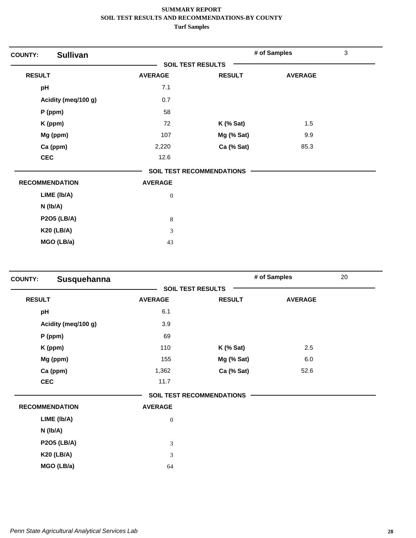| <b>Sullivan</b><br><b>COUNTY:</b> |                          |                                  | # of Samples   | 3 |
|-----------------------------------|--------------------------|----------------------------------|----------------|---|
|                                   | <b>SOIL TEST RESULTS</b> |                                  |                |   |
| <b>RESULT</b>                     | <b>AVERAGE</b>           | <b>RESULT</b>                    | <b>AVERAGE</b> |   |
| pH                                | 7.1                      |                                  |                |   |
| Acidity (meq/100 g)               | 0.7                      |                                  |                |   |
| P (ppm)                           | 58                       |                                  |                |   |
| K (ppm)                           | 72                       | $K$ (% Sat)                      | 1.5            |   |
| Mg (ppm)                          | 107                      | Mg (% Sat)                       | 9.9            |   |
| Ca (ppm)                          | 2,220                    | Ca (% Sat)                       | 85.3           |   |
| <b>CEC</b>                        | 12.6                     |                                  |                |   |
|                                   |                          | <b>SOIL TEST RECOMMENDATIONS</b> |                |   |
| <b>RECOMMENDATION</b>             | <b>AVERAGE</b>           |                                  |                |   |
| LIME (Ib/A)                       | $\boldsymbol{0}$         |                                  |                |   |
| $N$ (lb/A)                        |                          |                                  |                |   |
| <b>P2O5 (LB/A)</b>                | $\,8$                    |                                  |                |   |
| <b>K20 (LB/A)</b>                 | 3                        |                                  |                |   |
| MGO (LB/a)                        | 43                       |                                  |                |   |

| <b>COUNTY:</b> | Susquehanna           |                          |                                  | # of Samples   | 20 |
|----------------|-----------------------|--------------------------|----------------------------------|----------------|----|
|                |                       | <b>SOIL TEST RESULTS</b> |                                  |                |    |
| <b>RESULT</b>  |                       | <b>AVERAGE</b>           | <b>RESULT</b>                    | <b>AVERAGE</b> |    |
| pH             |                       | 6.1                      |                                  |                |    |
|                | Acidity (meq/100 g)   | 3.9                      |                                  |                |    |
|                | $P$ (ppm)             | 69                       |                                  |                |    |
|                | K (ppm)               | 110                      | $K$ (% Sat)                      | 2.5            |    |
|                | Mg (ppm)              | 155                      | Mg (% Sat)                       | 6.0            |    |
|                | Ca (ppm)              | 1,362                    | Ca (% Sat)                       | 52.6           |    |
| <b>CEC</b>     |                       | 11.7                     |                                  |                |    |
|                |                       |                          | <b>SOIL TEST RECOMMENDATIONS</b> |                |    |
|                | <b>RECOMMENDATION</b> | <b>AVERAGE</b>           |                                  |                |    |
|                | LIME (Ib/A)           | $\boldsymbol{0}$         |                                  |                |    |
|                | N (lb/A)              |                          |                                  |                |    |
|                | <b>P2O5 (LB/A)</b>    | 3                        |                                  |                |    |
|                | <b>K20 (LB/A)</b>     | 3                        |                                  |                |    |
|                | MGO (LB/a)            | 64                       |                                  |                |    |
|                |                       |                          |                                  |                |    |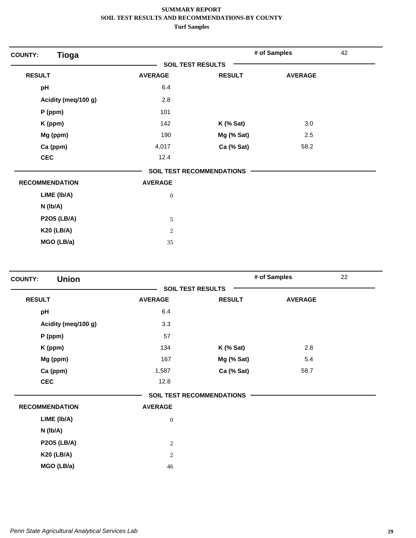| <b>Tioga</b><br><b>COUNTY:</b> |                          |                                  | # of Samples   | 42 |
|--------------------------------|--------------------------|----------------------------------|----------------|----|
|                                | <b>SOIL TEST RESULTS</b> |                                  |                |    |
| <b>RESULT</b>                  | <b>AVERAGE</b>           | <b>RESULT</b>                    | <b>AVERAGE</b> |    |
| pH                             | 6.4                      |                                  |                |    |
| Acidity (meq/100 g)            | 2.8                      |                                  |                |    |
| P (ppm)                        | 101                      |                                  |                |    |
| K (ppm)                        | 142                      | $K$ (% Sat)                      | 3.0            |    |
| Mg (ppm)                       | 190                      | Mg (% Sat)                       | 2.5            |    |
| Ca (ppm)                       | 4,017                    | Ca (% Sat)                       | 58.2           |    |
| <b>CEC</b>                     | 12.4                     |                                  |                |    |
|                                |                          | <b>SOIL TEST RECOMMENDATIONS</b> |                |    |
| <b>RECOMMENDATION</b>          | <b>AVERAGE</b>           |                                  |                |    |
| LIME (Ib/A)                    | $\boldsymbol{0}$         |                                  |                |    |
| $N$ ( $lb/A$ )                 |                          |                                  |                |    |
| <b>P2O5 (LB/A)</b>             | 5                        |                                  |                |    |
| <b>K20 (LB/A)</b>              | $\overline{2}$           |                                  |                |    |
| MGO (LB/a)                     | 35                       |                                  |                |    |

| <b>Union</b><br><b>COUNTY:</b> |                          |                                  | # of Samples   | 22 |
|--------------------------------|--------------------------|----------------------------------|----------------|----|
|                                | <b>SOIL TEST RESULTS</b> |                                  |                |    |
| <b>RESULT</b>                  | <b>AVERAGE</b>           | <b>RESULT</b>                    | <b>AVERAGE</b> |    |
| pH                             | 6.4                      |                                  |                |    |
| Acidity (meq/100 g)            | 3.3                      |                                  |                |    |
| $P$ (ppm)                      | 57                       |                                  |                |    |
| K (ppm)                        | 134                      | $K$ (% Sat)                      | 2.8            |    |
| Mg (ppm)                       | 167                      | Mg (% Sat)                       | 5.4            |    |
| Ca (ppm)                       | 1,587                    | Ca (% Sat)                       | 58.7           |    |
| <b>CEC</b>                     | 12.8                     |                                  |                |    |
|                                |                          | <b>SOIL TEST RECOMMENDATIONS</b> |                |    |
| <b>RECOMMENDATION</b>          | <b>AVERAGE</b>           |                                  |                |    |
| LIME (Ib/A)                    | $\boldsymbol{0}$         |                                  |                |    |
| N (lb/A)                       |                          |                                  |                |    |
| <b>P2O5 (LB/A)</b>             | $\sqrt{2}$               |                                  |                |    |
| <b>K20 (LB/A)</b>              | $\mathbf{2}$             |                                  |                |    |
| MGO (LB/a)                     | 46                       |                                  |                |    |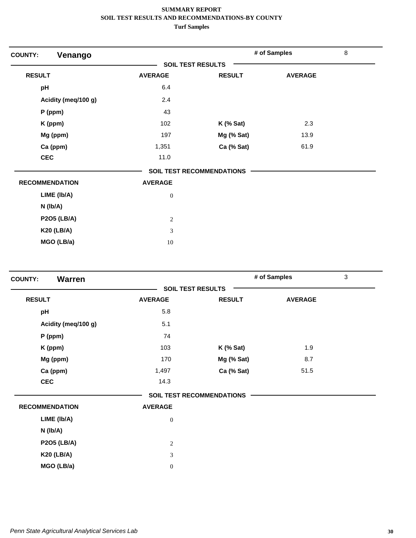| Venango<br><b>COUNTY:</b> |                          |                                  | # of Samples   | $\,8\,$ |
|---------------------------|--------------------------|----------------------------------|----------------|---------|
|                           | <b>SOIL TEST RESULTS</b> |                                  |                |         |
| <b>RESULT</b>             | <b>AVERAGE</b>           | <b>RESULT</b>                    | <b>AVERAGE</b> |         |
| pH                        | 6.4                      |                                  |                |         |
| Acidity (meq/100 g)       | 2.4                      |                                  |                |         |
| $P$ (ppm)                 | 43                       |                                  |                |         |
| K (ppm)                   | 102                      | $K$ (% Sat)                      | 2.3            |         |
| Mg (ppm)                  | 197                      | Mg (% Sat)                       | 13.9           |         |
| Ca (ppm)                  | 1,351                    | Ca (% Sat)                       | 61.9           |         |
| <b>CEC</b>                | 11.0                     |                                  |                |         |
|                           |                          | <b>SOIL TEST RECOMMENDATIONS</b> |                |         |
| <b>RECOMMENDATION</b>     | <b>AVERAGE</b>           |                                  |                |         |
| LIME (Ib/A)               | $\boldsymbol{0}$         |                                  |                |         |
| $N$ (lb/A)                |                          |                                  |                |         |
| <b>P2O5 (LB/A)</b>        | $\sqrt{2}$               |                                  |                |         |
| <b>K20 (LB/A)</b>         | 3                        |                                  |                |         |
| MGO (LB/a)                | 10                       |                                  |                |         |

| <b>Warren</b><br><b>COUNTY:</b> |                          |                                  | # of Samples   | $\mathfrak{Z}$ |
|---------------------------------|--------------------------|----------------------------------|----------------|----------------|
|                                 | <b>SOIL TEST RESULTS</b> |                                  |                |                |
| <b>RESULT</b>                   | <b>AVERAGE</b>           | <b>RESULT</b>                    | <b>AVERAGE</b> |                |
| pH                              | 5.8                      |                                  |                |                |
| Acidity (meq/100 g)             | 5.1                      |                                  |                |                |
| $P$ (ppm)                       | 74                       |                                  |                |                |
| K (ppm)                         | 103                      | $K$ (% Sat)                      | 1.9            |                |
| Mg (ppm)                        | 170                      | Mg (% Sat)                       | 8.7            |                |
| Ca (ppm)                        | 1,497                    | Ca (% Sat)                       | 51.5           |                |
| <b>CEC</b>                      | 14.3                     |                                  |                |                |
|                                 |                          | <b>SOIL TEST RECOMMENDATIONS</b> |                |                |
| <b>RECOMMENDATION</b>           | <b>AVERAGE</b>           |                                  |                |                |
| LIME (Ib/A)                     | $\boldsymbol{0}$         |                                  |                |                |
| N (lb/A)                        |                          |                                  |                |                |
| <b>P2O5 (LB/A)</b>              | $\overline{c}$           |                                  |                |                |
| <b>K20 (LB/A)</b>               | 3                        |                                  |                |                |
| MGO (LB/a)                      | $\boldsymbol{0}$         |                                  |                |                |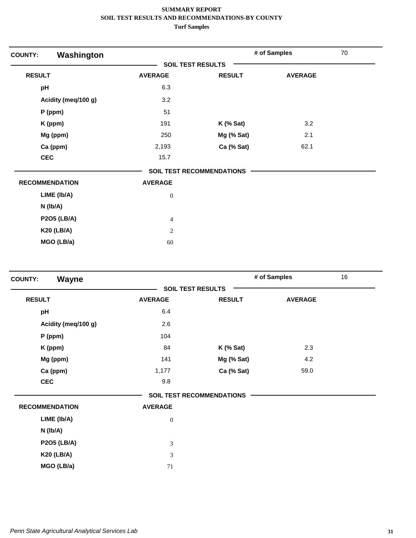| Washington<br><b>COUNTY:</b> |                          |                                  | # of Samples   | 70 |
|------------------------------|--------------------------|----------------------------------|----------------|----|
|                              | <b>SOIL TEST RESULTS</b> |                                  |                |    |
| <b>RESULT</b>                | <b>AVERAGE</b>           | <b>RESULT</b>                    | <b>AVERAGE</b> |    |
| pH                           | 6.3                      |                                  |                |    |
| Acidity (meq/100 g)          | 3.2                      |                                  |                |    |
| $P$ (ppm)                    | 51                       |                                  |                |    |
| K (ppm)                      | 191                      | $K$ (% Sat)                      | 3.2            |    |
| Mg (ppm)                     | 250                      | Mg (% Sat)                       | 2.1            |    |
| Ca (ppm)                     | 2,193                    | Ca (% Sat)                       | 62.1           |    |
| <b>CEC</b>                   | 15.7                     |                                  |                |    |
|                              |                          | <b>SOIL TEST RECOMMENDATIONS</b> |                |    |
| <b>RECOMMENDATION</b>        | <b>AVERAGE</b>           |                                  |                |    |
| LIME (Ib/A)                  | $\boldsymbol{0}$         |                                  |                |    |
| $N$ (lb/A)                   |                          |                                  |                |    |
| <b>P2O5 (LB/A)</b>           | $\overline{4}$           |                                  |                |    |
| <b>K20 (LB/A)</b>            | $\overline{c}$           |                                  |                |    |
| MGO (LB/a)                   | 60                       |                                  |                |    |

| Wayne<br><b>COUNTY:</b> |                          |                                  | # of Samples   | 16 |
|-------------------------|--------------------------|----------------------------------|----------------|----|
|                         | <b>SOIL TEST RESULTS</b> |                                  |                |    |
| <b>RESULT</b>           | <b>AVERAGE</b>           | <b>RESULT</b>                    | <b>AVERAGE</b> |    |
| pH                      | 6.4                      |                                  |                |    |
| Acidity (meq/100 g)     | 2.6                      |                                  |                |    |
| $P$ (ppm)               | 104                      |                                  |                |    |
| K (ppm)                 | 84                       | $K$ (% Sat)                      | 2.3            |    |
| Mg (ppm)                | 141                      | Mg (% Sat)                       | 4.2            |    |
| Ca (ppm)                | 1,177                    | Ca (% Sat)                       | 59.0           |    |
| <b>CEC</b>              | 9.8                      |                                  |                |    |
|                         |                          | <b>SOIL TEST RECOMMENDATIONS</b> |                |    |
| <b>RECOMMENDATION</b>   | <b>AVERAGE</b>           |                                  |                |    |
| LIME (Ib/A)             | $\boldsymbol{0}$         |                                  |                |    |
| $N$ (lb/A)              |                          |                                  |                |    |
| <b>P2O5 (LB/A)</b>      | $\mathfrak{Z}$           |                                  |                |    |
| <b>K20 (LB/A)</b>       | $\mathfrak{Z}$           |                                  |                |    |
| MGO (LB/a)              | 71                       |                                  |                |    |
|                         |                          |                                  |                |    |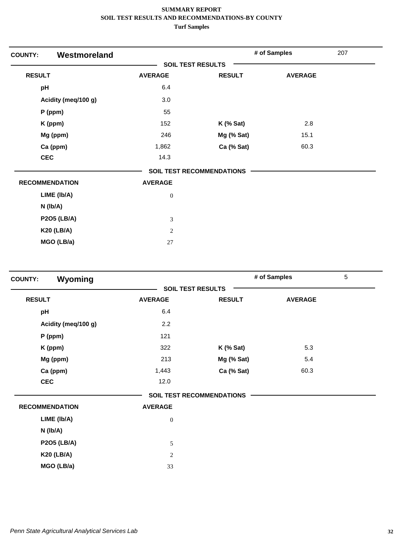| Westmoreland<br><b>COUNTY:</b> |                  |                                  | # of Samples   | 207 |
|--------------------------------|------------------|----------------------------------|----------------|-----|
|                                |                  | <b>SOIL TEST RESULTS</b>         |                |     |
| <b>RESULT</b>                  | <b>AVERAGE</b>   | <b>RESULT</b>                    | <b>AVERAGE</b> |     |
| pH                             | 6.4              |                                  |                |     |
| Acidity (meq/100 g)            | 3.0              |                                  |                |     |
| P (ppm)                        | 55               |                                  |                |     |
| K (ppm)                        | 152              | $K$ (% Sat)                      | 2.8            |     |
| Mg (ppm)                       | 246              | Mg (% Sat)                       | 15.1           |     |
| Ca (ppm)                       | 1,862            | Ca (% Sat)                       | 60.3           |     |
| <b>CEC</b>                     | 14.3             |                                  |                |     |
|                                |                  | <b>SOIL TEST RECOMMENDATIONS</b> |                |     |
| <b>RECOMMENDATION</b>          | <b>AVERAGE</b>   |                                  |                |     |
| LIME (Ib/A)                    | $\boldsymbol{0}$ |                                  |                |     |
| $N$ (lb/A)                     |                  |                                  |                |     |
| <b>P2O5 (LB/A)</b>             | 3                |                                  |                |     |
| <b>K20 (LB/A)</b>              | $\overline{2}$   |                                  |                |     |
| MGO (LB/a)                     | 27               |                                  |                |     |

| Wyoming<br><b>COUNTY:</b> |                |                                  | # of Samples   | 5 |
|---------------------------|----------------|----------------------------------|----------------|---|
|                           |                | <b>SOIL TEST RESULTS</b>         |                |   |
| <b>RESULT</b>             | <b>AVERAGE</b> | <b>RESULT</b>                    | <b>AVERAGE</b> |   |
| pH                        | 6.4            |                                  |                |   |
| Acidity (meg/100 g)       | 2.2            |                                  |                |   |
| P (ppm)                   | 121            |                                  |                |   |
| K (ppm)                   | 322            | $K$ (% Sat)                      | 5.3            |   |
| Mg (ppm)                  | 213            | Mg (% Sat)                       | 5.4            |   |
| Ca (ppm)                  | 1,443          | Ca (% Sat)                       | 60.3           |   |
| <b>CEC</b>                | 12.0           |                                  |                |   |
|                           |                | <b>SOIL TEST RECOMMENDATIONS</b> |                |   |
| <b>RECOMMENDATION</b>     | <b>AVERAGE</b> |                                  |                |   |
| LIME (Ib/A)               | $\mathbf{0}$   |                                  |                |   |
| $N$ ( $lb/A$ )            |                |                                  |                |   |
| <b>P2O5 (LB/A)</b>        | 5              |                                  |                |   |
| <b>K20 (LB/A)</b>         | $\overline{2}$ |                                  |                |   |
| MGO (LB/a)                | 33             |                                  |                |   |
|                           |                |                                  |                |   |